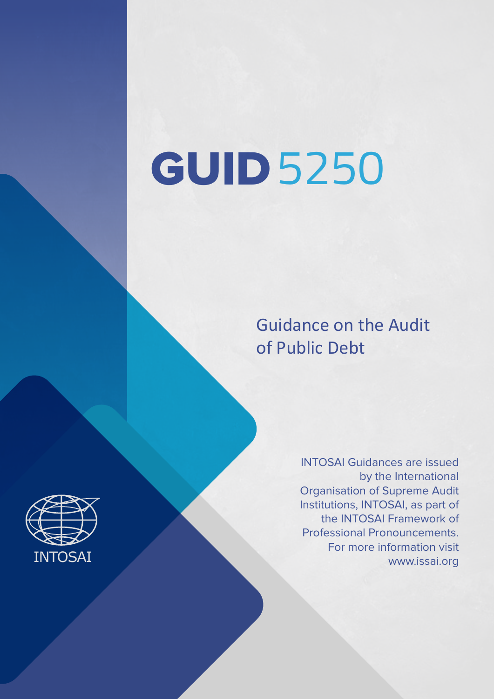# GUID 5250

Guidance on the Audit of Public Debt

> INTOSAI Guidances are issued by the International Organisation of Supreme Audit Institutions, INTOSAI, as part of the INTOSAI Framework of Professional Pronouncements. For more information visit www.issai.org

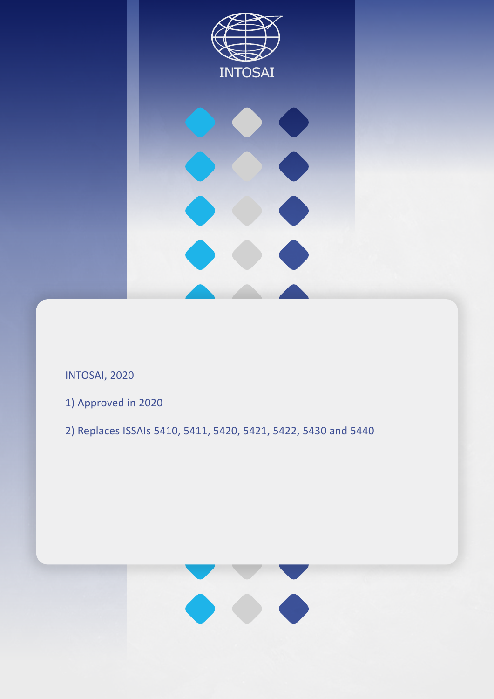

INTOSAI, 2020

- 1) Approved in 2020
- 2) Replaces ISSAIs 5410, 5411, 5420, 5421, 5422, 5430 and 5440

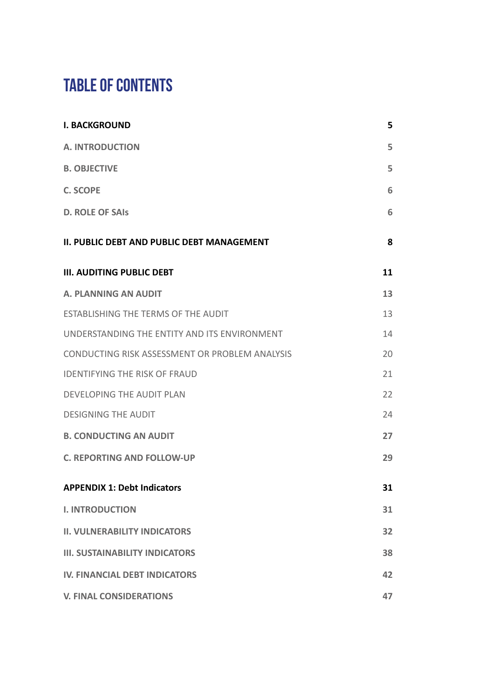# **TABLE OF CONTENTS**

| <b>I. BACKGROUND</b>                           | 5  |
|------------------------------------------------|----|
| <b>A. INTRODUCTION</b>                         | 5  |
| <b>B. OBJECTIVE</b>                            | 5  |
| <b>C. SCOPE</b>                                | 6  |
| <b>D. ROLE OF SAIS</b>                         | 6  |
| II. PUBLIC DEBT AND PUBLIC DEBT MANAGEMENT     | 8  |
| <b>III. AUDITING PUBLIC DEBT</b>               | 11 |
| <b>A. PLANNING AN AUDIT</b>                    | 13 |
| ESTABLISHING THE TERMS OF THE AUDIT            | 13 |
| UNDERSTANDING THE ENTITY AND ITS ENVIRONMENT   | 14 |
| CONDUCTING RISK ASSESSMENT OR PROBLEM ANALYSIS | 20 |
| <b>IDENTIFYING THE RISK OF FRAUD</b>           | 21 |
| <b>DEVELOPING THE AUDIT PLAN</b>               | 22 |
| <b>DESIGNING THE AUDIT</b>                     | 24 |
| <b>B. CONDUCTING AN AUDIT</b>                  | 27 |
| <b>C. REPORTING AND FOLLOW-UP</b>              | 29 |
| <b>APPENDIX 1: Debt Indicators</b>             | 31 |
| <b>I. INTRODUCTION</b>                         | 31 |
| <b>II. VULNERABILITY INDICATORS</b>            | 32 |
| <b>III. SUSTAINABILITY INDICATORS</b>          | 38 |
| <b>IV. FINANCIAL DEBT INDICATORS</b>           | 42 |
| <b>V. FINAL CONSIDERATIONS</b>                 | 47 |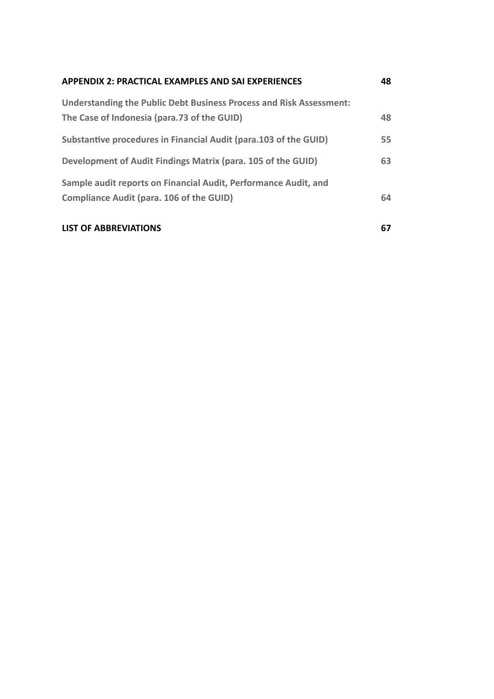| APPENDIX 2: PRACTICAL EXAMPLES AND SAI EXPERIENCES                                                                 | 48 |
|--------------------------------------------------------------------------------------------------------------------|----|
| Understanding the Public Debt Business Process and Risk Assessment:<br>The Case of Indonesia (para.73 of the GUID) | 48 |
| Substantive procedures in Financial Audit (para.103 of the GUID)                                                   | 55 |
| Development of Audit Findings Matrix (para. 105 of the GUID)                                                       | 63 |
| Sample audit reports on Financial Audit, Performance Audit, and<br><b>Compliance Audit (para. 106 of the GUID)</b> | 64 |
| <b>LIST OF ABBREVIATIONS</b>                                                                                       | 67 |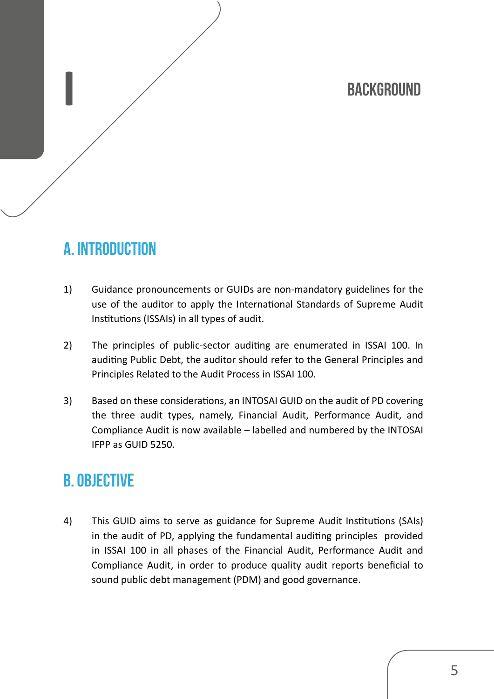# **BACKGROUND**

# **A. INTRODUCTION**

- 1) Guidance pronouncements or GUIDs are non-mandatory guidelines for the use of the auditor to apply the International Standards of Supreme Audit Institutions (ISSAIs) in all types of audit.
- 2) The principles of public-sector auditing are enumerated in ISSAI 100. In auditing Public Debt, the auditor should refer to the General Principles and Principles Related to the Audit Process in ISSAI 100.
- 3) Based on these considerations, an INTOSAI GUID on the audit of PD covering the three audit types, namely, Financial Audit, Performance Audit, and Compliance Audit is now available – labelled and numbered by the INTOSAI IFPP as GUID 5250.

## **B. OBJECTIVE**

4) This GUID aims to serve as guidance for Supreme Audit Institutions (SAIs) in the audit of PD, applying the fundamental auditing principles provided in ISSAI 100 in all phases of the Financial Audit, Performance Audit and Compliance Audit, in order to produce quality audit reports beneficial to sound public debt management (PDM) and good governance.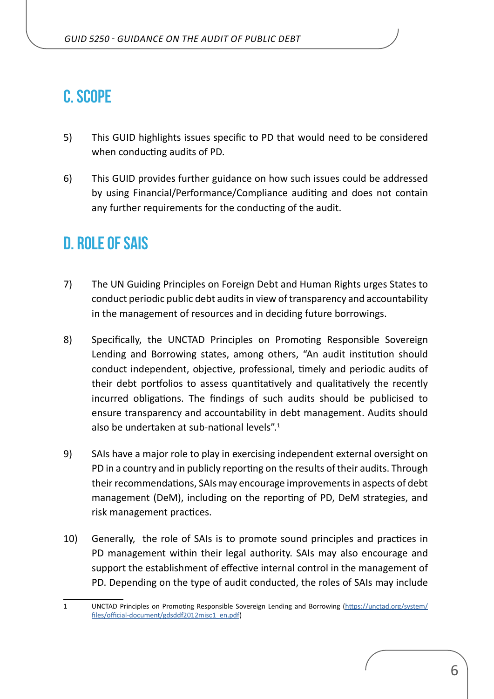## **C. SCOPE**

- 5) This GUID highlights issues specific to PD that would need to be considered when conducting audits of PD.
- 6) This GUID provides further guidance on how such issues could be addressed by using Financial/Performance/Compliance auditing and does not contain any further requirements for the conducting of the audit.

## **D. ROLE OF SAIs**

- 7) The UN Guiding Principles on Foreign Debt and Human Rights urges States to conduct periodic public debt audits in view of transparency and accountability in the management of resources and in deciding future borrowings.
- 8) Specifically, the UNCTAD Principles on Promoting Responsible Sovereign Lending and Borrowing states, among others, "An audit institution should conduct independent, objective, professional, timely and periodic audits of their debt portfolios to assess quantitatively and qualitatively the recently incurred obligations. The findings of such audits should be publicised to ensure transparency and accountability in debt management. Audits should also be undertaken at sub-national levels".<sup>1</sup>
- 9) SAIs have a major role to play in exercising independent external oversight on PD in a country and in publicly reporting on the results of their audits. Through their recommendations, SAIs may encourage improvements in aspects of debt management (DeM), including on the reporting of PD, DeM strategies, and risk management practices.
- 10) Generally, the role of SAIs is to promote sound principles and practices in PD management within their legal authority. SAIs may also encourage and support the establishment of effective internal control in the management of PD. Depending on the type of audit conducted, the roles of SAIs may include

<sup>1</sup> UNCTAD Principles on Promoting Responsible Sovereign Lending and Borrowing [\(https://unctad.org/system/](https://unctad.org/system/files/official-document/gdsddf2012misc1_en.pdf) [files/official-document/gdsddf2012misc1\\_en.pdf](https://unctad.org/system/files/official-document/gdsddf2012misc1_en.pdf))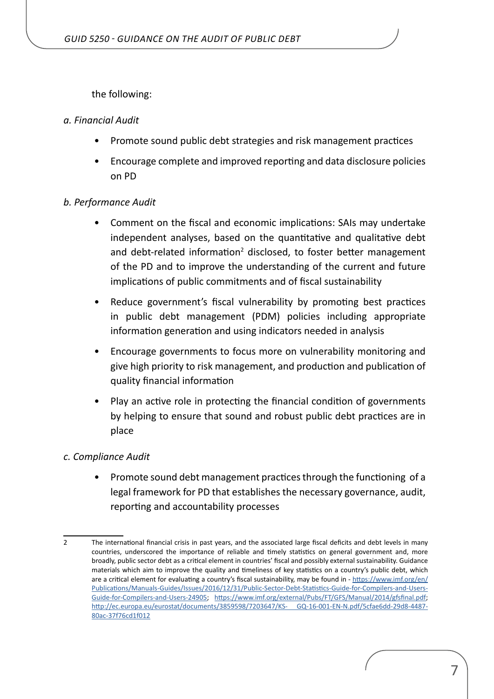the following:

#### *a. Financial Audit*

- Promote sound public debt strategies and risk management practices
- Encourage complete and improved reporting and data disclosure policies on PD

#### *b. Performance Audit*

- Comment on the fiscal and economic implications: SAIs may undertake independent analyses, based on the quantitative and qualitative debt and debt-related information<sup>2</sup> disclosed, to foster better management of the PD and to improve the understanding of the current and future implications of public commitments and of fiscal sustainability
- Reduce government's fiscal vulnerability by promoting best practices in public debt management (PDM) policies including appropriate information generation and using indicators needed in analysis
- Encourage governments to focus more on vulnerability monitoring and give high priority to risk management, and production and publication of quality financial information
- Play an active role in protecting the financial condition of governments by helping to ensure that sound and robust public debt practices are in place

#### *c. Compliance Audit*

• Promote sound debt management practices through the functioning of a legal framework for PD that establishes the necessary governance, audit, reporting and accountability processes

<sup>2</sup> The international financial crisis in past years, and the associated large fiscal deficits and debt levels in many countries, underscored the importance of reliable and timely statistics on general government and, more broadly, public sector debt as a critical element in countries' fiscal and possibly external sustainability. Guidance materials which aim to improve the quality and timeliness of key statistics on a country's public debt, which are a critical element for evaluating a country's fiscal sustainability, may be found in - [https://www.imf.org/en/](https://www.imf.org/en/Publications/Manuals-Guides/Issues/2016/12/31/Public-Sector-Debt-Statistics-Guide-for-Compilers-and-Users-Guide-for-Compilers-and-Users-24905) [Publications/Manuals-Guides/Issues/2016/12/31/Public-Sector-Debt-Statistics-Guide-for-Compilers-and-Users-](https://www.imf.org/en/Publications/Manuals-Guides/Issues/2016/12/31/Public-Sector-Debt-Statistics-Guide-for-Compilers-and-Users-Guide-for-Compilers-and-Users-24905)[Guide-for-Compilers-and-Users-24905;](https://www.imf.org/en/Publications/Manuals-Guides/Issues/2016/12/31/Public-Sector-Debt-Statistics-Guide-for-Compilers-and-Users-Guide-for-Compilers-and-Users-24905) <https://www.imf.org/external/Pubs/FT/GFS/Manual/2014/gfsfinal.pdf>; [http://ec.europa.eu/eurostat/documents/3859598/7203647/KS- GQ-16-001-EN-N.pdf/5cfae6dd-29d8-4487-](http://ec.europa.eu/eurostat/documents/3859598/7203647/KS- GQ-16-001-EN-N.pdf/5cfae6dd-29d8-4487-80ac-37f76cd1f012) [80ac-37f76cd1f012](http://ec.europa.eu/eurostat/documents/3859598/7203647/KS- GQ-16-001-EN-N.pdf/5cfae6dd-29d8-4487-80ac-37f76cd1f012)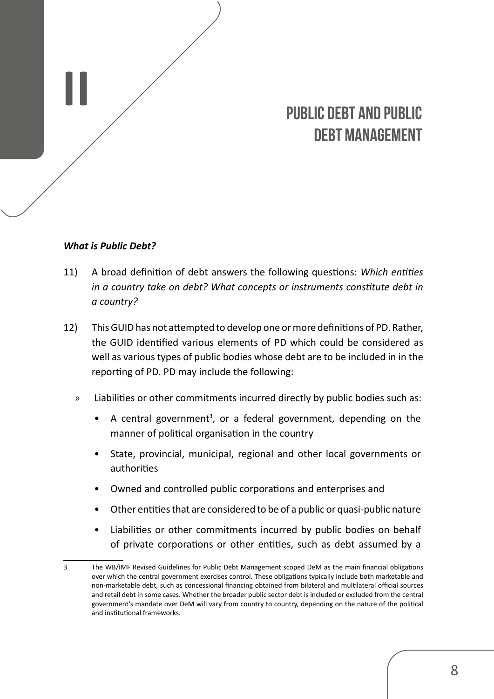# **PUBLIC DEBT AND PUBLIC DEBT MANAGEMENT**

#### *What is Public Debt?*

<span id="page-7-0"></span>**II**

- 11) A broad definition of debt answers the following questions: *Which entities in a country take on debt? What concepts or instruments constitute debt in a country?*
- 12) This GUID has not attempted to develop one or more definitions of PD. Rather, the GUID identified various elements of PD which could be considered as well as various types of public bodies whose debt are to be included in in the reporting of PD. PD may include the following:
	- » Liabilities or other commitments incurred directly by public bodies such as:
		- A central government<sup>3</sup>, or a federal government, depending on the manner of political organisation in the country
		- State, provincial, municipal, regional and other local governments or authorities
		- Owned and controlled public corporations and enterprises and
		- Other entities that are considered to be of a public or quasi-public nature
		- Liabilities or other commitments incurred by public bodies on behalf of private corporations or other entities, such as debt assumed by a

<sup>3</sup> The WB/IMF Revised Guidelines for Public Debt Management scoped DeM as the main financial obligations over which the central government exercises control. These obligations typically include both marketable and non-marketable debt, such as concessional financing obtained from bilateral and multilateral official sources and retail debt in some cases. Whether the broader public sector debt is included or excluded from the central government's mandate over DeM will vary from country to country, depending on the nature of the political and institutional frameworks.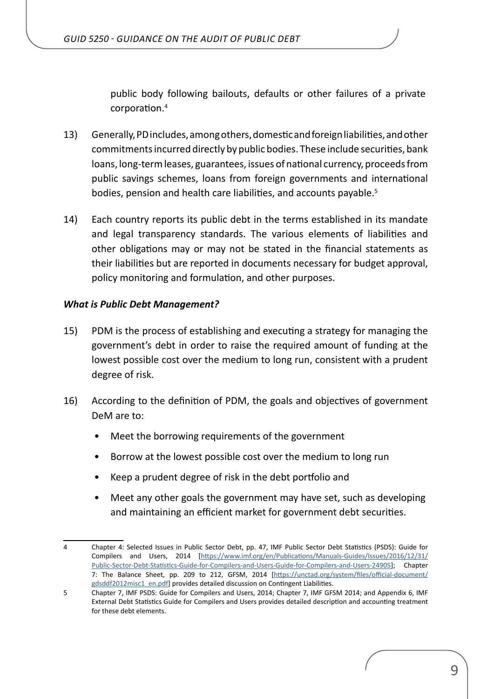public body following bailouts, defaults or other failures of a private corporation.<sup>4</sup>

- 13) Generally, PD includes, among others, domestic and foreign liabilities, and other commitments incurred directly by public bodies. These include securities, bank loans, long-term leases, guarantees, issues of national currency, proceeds from public savings schemes, loans from foreign governments and international bodies, pension and health care liabilities, and accounts payable.<sup>5</sup>
- 14) Each country reports its public debt in the terms established in its mandate and legal transparency standards. The various elements of liabilities and other obligations may or may not be stated in the financial statements as their liabilities but are reported in documents necessary for budget approval, policy monitoring and formulation, and other purposes.

#### *What is Public Debt Management?*

- 15) PDM is the process of establishing and executing a strategy for managing the government's debt in order to raise the required amount of funding at the lowest possible cost over the medium to long run, consistent with a prudent degree of risk.
- 16) According to the definition of PDM, the goals and objectives of government DeM are to:
	- Meet the borrowing requirements of the government
	- Borrow at the lowest possible cost over the medium to long run
	- Keep a prudent degree of risk in the debt portfolio and
	- Meet any other goals the government may have set, such as developing and maintaining an efficient market for government debt securities.

<sup>4</sup> Chapter 4: Selected Issues in Public Sector Debt, pp. 47, IMF Public Sector Debt Statistics (PSDS): Guide for Compilers and Users, 2014 [[https://www.imf.org/en/Publications/Manuals-Guides/Issues/2016/12/31/](https://www.imf.org/en/Publications/Manuals-Guides/Issues/2016/12/31/Public-Sector-Debt-Statistics-Guide-for-Compilers-and-Users-Guide-for-Compilers-and-Users-24905) [Public-Sector-Debt-Statistics-Guide-for-Compilers-and-Users-Guide-for-Compilers-and-Users-24905](https://www.imf.org/en/Publications/Manuals-Guides/Issues/2016/12/31/Public-Sector-Debt-Statistics-Guide-for-Compilers-and-Users-Guide-for-Compilers-and-Users-24905)]; Chapter 7: The Balance Sheet, pp. 209 to 212, GFSM, 2014 [\[https://unctad.org/system/files/official-document/](https://unctad.org/system/files/official-document/gdsddf2012misc1_en.pdf) [gdsddf2012misc1\\_en.pdf\]](https://unctad.org/system/files/official-document/gdsddf2012misc1_en.pdf) provides detailed discussion on Contingent Liabilities.

<sup>5</sup> Chapter 7, IMF PSDS: Guide for Compilers and Users, 2014; Chapter 7, IMF GFSM 2014; and Appendix 6, IMF External Debt Statistics Guide for Compilers and Users provides detailed description and accounting treatment for these debt elements.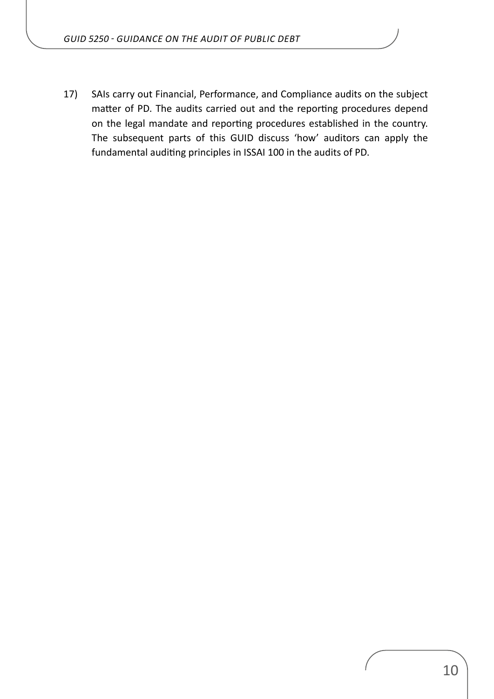17) SAIs carry out Financial, Performance, and Compliance audits on the subject matter of PD. The audits carried out and the reporting procedures depend on the legal mandate and reporting procedures established in the country. The subsequent parts of this GUID discuss 'how' auditors can apply the fundamental auditing principles in ISSAI 100 in the audits of PD.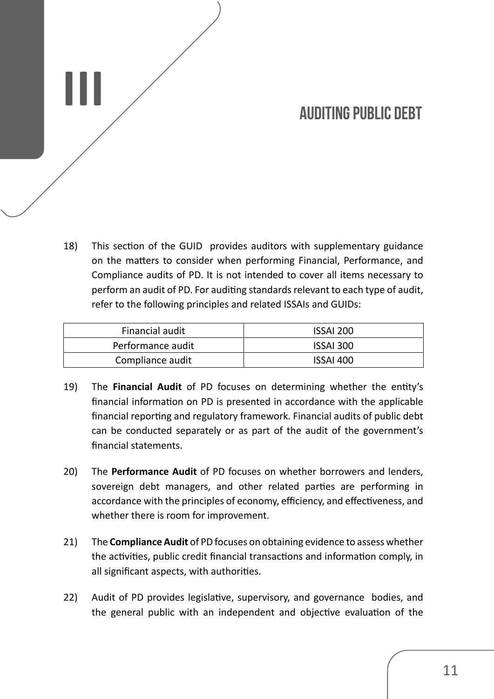## **AUDITING PUBLIC DEBT**

18) This section of the GUID provides auditors with supplementary guidance on the matters to consider when performing Financial, Performance, and Compliance audits of PD. It is not intended to cover all items necessary to perform an audit of PD. For auditing standards relevant to each type of audit, refer to the following principles and related ISSAIs and GUIDs:

<span id="page-10-0"></span>**III**

| Financial audit   | ISSAI 200 |
|-------------------|-----------|
| Performance audit | ISSAI 300 |
| Compliance audit  | ISSAI 400 |

- 19) The **Financial Audit** of PD focuses on determining whether the entity's financial information on PD is presented in accordance with the applicable financial reporting and regulatory framework. Financial audits of public debt can be conducted separately or as part of the audit of the government's financial statements.
- 20) The **Performance Audit** of PD focuses on whether borrowers and lenders, sovereign debt managers, and other related parties are performing in accordance with the principles of economy, efficiency, and effectiveness, and whether there is room for improvement.
- 21) The **Compliance Audit** of PD focuses on obtaining evidence to assess whether the activities, public credit financial transactions and information comply, in all significant aspects, with authorities.
- 22) Audit of PD provides legislative, supervisory, and governance bodies, and the general public with an independent and objective evaluation of the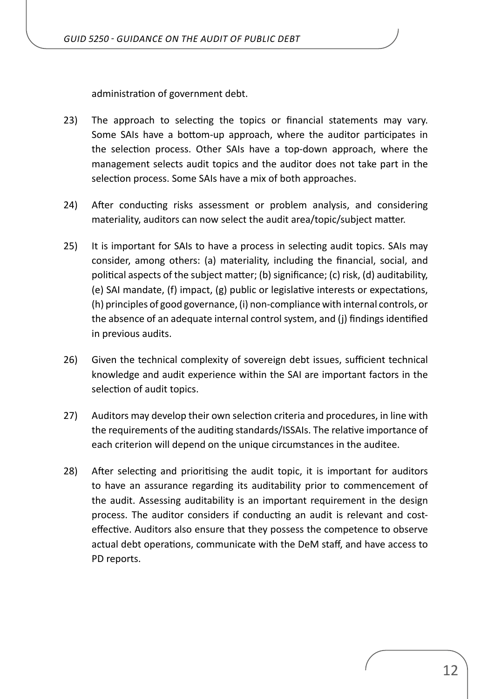administration of government debt.

- 23) The approach to selecting the topics or financial statements may vary. Some SAIs have a bottom-up approach, where the auditor participates in the selection process. Other SAIs have a top-down approach, where the management selects audit topics and the auditor does not take part in the selection process. Some SAIs have a mix of both approaches.
- 24) After conducting risks assessment or problem analysis, and considering materiality, auditors can now select the audit area/topic/subject matter.
- 25) It is important for SAIs to have a process in selecting audit topics. SAIs may consider, among others: (a) materiality, including the financial, social, and political aspects of the subject matter; (b) significance; (c) risk, (d) auditability, (e) SAI mandate, (f) impact, (g) public or legislative interests or expectations, (h) principles of good governance, (i) non-compliance with internal controls, or the absence of an adequate internal control system, and (j) findings identified in previous audits.
- 26) Given the technical complexity of sovereign debt issues, sufficient technical knowledge and audit experience within the SAI are important factors in the selection of audit topics.
- 27) Auditors may develop their own selection criteria and procedures, in line with the requirements of the auditing standards/ISSAIs. The relative importance of each criterion will depend on the unique circumstances in the auditee.
- 28) After selecting and prioritising the audit topic, it is important for auditors to have an assurance regarding its auditability prior to commencement of the audit. Assessing auditability is an important requirement in the design process. The auditor considers if conducting an audit is relevant and costeffective. Auditors also ensure that they possess the competence to observe actual debt operations, communicate with the DeM staff, and have access to PD reports.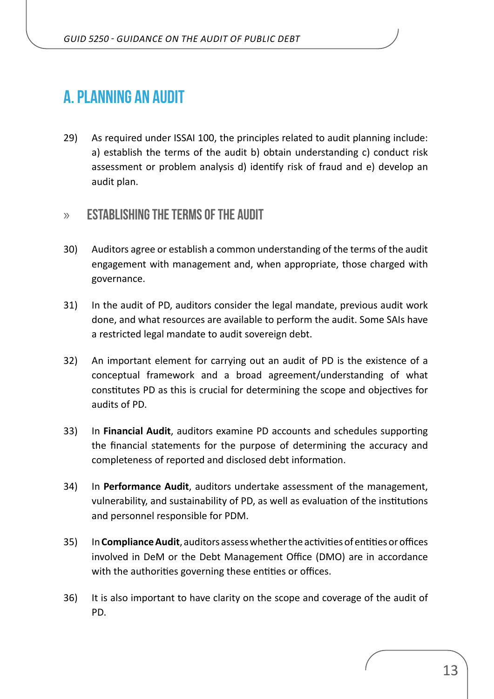## <span id="page-12-0"></span>**A. PLANNING AN AUDIT**

29) As required under ISSAI 100, the principles related to audit planning include: a) establish the terms of the audit b) obtain understanding c) conduct risk assessment or problem analysis d) identify risk of fraud and e) develop an audit plan.

## » **ESTABLISHING THE TERMS OF THE AUDIT**

- 30) Auditors agree or establish a common understanding of the terms of the audit engagement with management and, when appropriate, those charged with governance.
- 31) In the audit of PD, auditors consider the legal mandate, previous audit work done, and what resources are available to perform the audit. Some SAIs have a restricted legal mandate to audit sovereign debt.
- 32) An important element for carrying out an audit of PD is the existence of a conceptual framework and a broad agreement/understanding of what constitutes PD as this is crucial for determining the scope and objectives for audits of PD.
- 33) In **Financial Audit**, auditors examine PD accounts and schedules supporting the financial statements for the purpose of determining the accuracy and completeness of reported and disclosed debt information.
- 34) In **Performance Audit**, auditors undertake assessment of the management, vulnerability, and sustainability of PD, as well as evaluation of the institutions and personnel responsible for PDM.
- 35) In **Compliance Audit**, auditors assess whether the activities of entities or offices involved in DeM or the Debt Management Office (DMO) are in accordance with the authorities governing these entities or offices.
- 36) It is also important to have clarity on the scope and coverage of the audit of PD.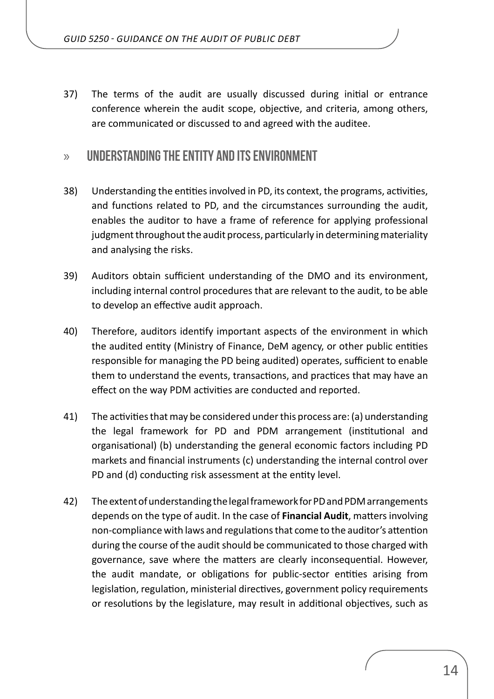<span id="page-13-0"></span>37) The terms of the audit are usually discussed during initial or entrance conference wherein the audit scope, objective, and criteria, among others, are communicated or discussed to and agreed with the auditee.

## » **UNDERSTANDING THE ENTITY AND ITS ENVIRONMENT**

- 38) Understanding the entities involved in PD, its context, the programs, activities, and functions related to PD, and the circumstances surrounding the audit, enables the auditor to have a frame of reference for applying professional judgment throughout the audit process, particularly in determining materiality and analysing the risks.
- 39) Auditors obtain sufficient understanding of the DMO and its environment, including internal control procedures that are relevant to the audit, to be able to develop an effective audit approach.
- 40) Therefore, auditors identify important aspects of the environment in which the audited entity (Ministry of Finance, DeM agency, or other public entities responsible for managing the PD being audited) operates, sufficient to enable them to understand the events, transactions, and practices that may have an effect on the way PDM activities are conducted and reported.
- 41) The activities that may be considered under this process are: (a) understanding the legal framework for PD and PDM arrangement (institutional and organisational) (b) understanding the general economic factors including PD markets and financial instruments (c) understanding the internal control over PD and (d) conducting risk assessment at the entity level.
- 42) The extent of understanding the legal framework for PD and PDM arrangements depends on the type of audit. In the case of **Financial Audit**, matters involving non-compliance with laws and regulations that come to the auditor's attention during the course of the audit should be communicated to those charged with governance, save where the matters are clearly inconsequential. However, the audit mandate, or obligations for public-sector entities arising from legislation, regulation, ministerial directives, government policy requirements or resolutions by the legislature, may result in additional objectives, such as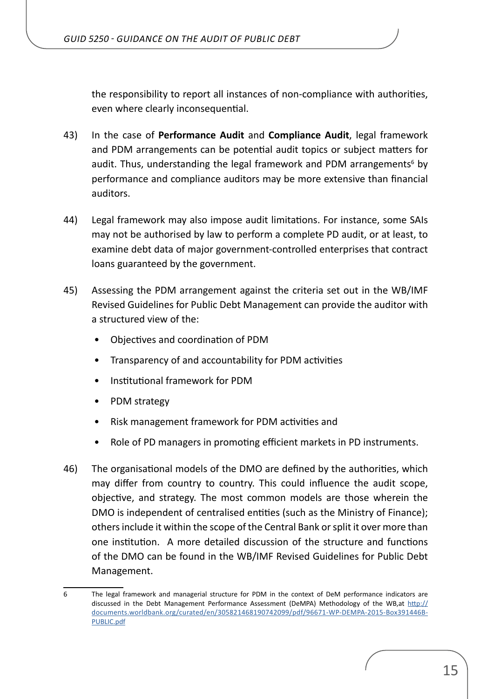the responsibility to report all instances of non-compliance with authorities, even where clearly inconsequential.

- 43) In the case of **Performance Audit** and **Compliance Audit**, legal framework and PDM arrangements can be potential audit topics or subject matters for audit. Thus, understanding the legal framework and PDM arrangements<sup>6</sup> by performance and compliance auditors may be more extensive than financial auditors.
- 44) Legal framework may also impose audit limitations. For instance, some SAIs may not be authorised by law to perform a complete PD audit, or at least, to examine debt data of major government-controlled enterprises that contract loans guaranteed by the government.
- 45) Assessing the PDM arrangement against the criteria set out in the WB/IMF Revised Guidelines for Public Debt Management can provide the auditor with a structured view of the:
	- Objectives and coordination of PDM
	- Transparency of and accountability for PDM activities
	- Institutional framework for PDM
	- PDM strategy
	- Risk management framework for PDM activities and
	- Role of PD managers in promoting efficient markets in PD instruments.
- 46) The organisational models of the DMO are defined by the authorities, which may differ from country to country. This could influence the audit scope, objective, and strategy. The most common models are those wherein the DMO is independent of centralised entities (such as the Ministry of Finance); others include it within the scope of the Central Bank or split it over more than one institution. A more detailed discussion of the structure and functions of the DMO can be found in the WB/IMF Revised Guidelines for Public Debt Management.

<sup>6</sup> The legal framework and managerial structure for PDM in the context of DeM performance indicators are discussed in the Debt Management Performance Assessment (DeMPA) Methodology of the WB,at [http://](http://documents.worldbank.org/curated/en/305821468190742099/pdf/96671-WP-DEMPA-2015-Box391446B-PUBLIC.pdf) [documents.worldbank.org/curated/en/305821468190742099/pdf/96671-WP-DEMPA-2015-Box391446B-](http://documents.worldbank.org/curated/en/305821468190742099/pdf/96671-WP-DEMPA-2015-Box391446B-PUBLIC.pdf)[PUBLIC.pdf](http://documents.worldbank.org/curated/en/305821468190742099/pdf/96671-WP-DEMPA-2015-Box391446B-PUBLIC.pdf)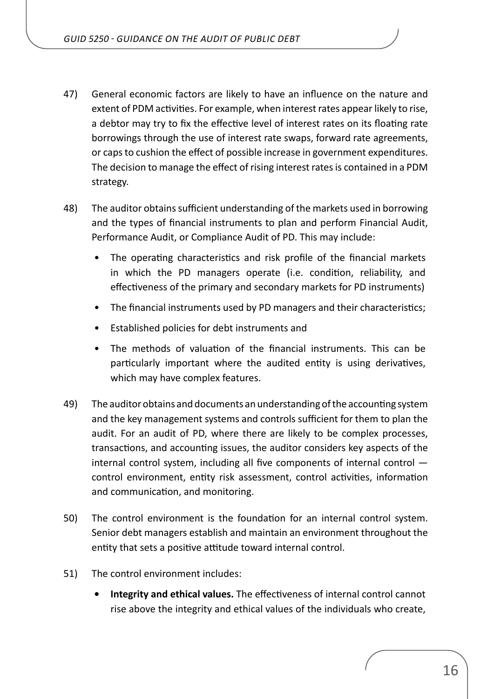- 47) General economic factors are likely to have an influence on the nature and extent of PDM activities. For example, when interest rates appear likely to rise, a debtor may try to fix the effective level of interest rates on its floating rate borrowings through the use of interest rate swaps, forward rate agreements, or caps to cushion the effect of possible increase in government expenditures. The decision to manage the effect of rising interest rates is contained in a PDM strategy.
- 48) The auditor obtains sufficient understanding of the markets used in borrowing and the types of financial instruments to plan and perform Financial Audit, Performance Audit, or Compliance Audit of PD. This may include:
	- The operating characteristics and risk profile of the financial markets in which the PD managers operate (i.e. condition, reliability, and effectiveness of the primary and secondary markets for PD instruments)
	- The financial instruments used by PD managers and their characteristics;
	- Established policies for debt instruments and
	- The methods of valuation of the financial instruments. This can be particularly important where the audited entity is using derivatives, which may have complex features.
- 49) The auditor obtains and documents an understanding of the accounting system and the key management systems and controls sufficient for them to plan the audit. For an audit of PD, where there are likely to be complex processes, transactions, and accounting issues, the auditor considers key aspects of the internal control system, including all five components of internal control control environment, entity risk assessment, control activities, information and communication, and monitoring.
- 50) The control environment is the foundation for an internal control system. Senior debt managers establish and maintain an environment throughout the entity that sets a positive attitude toward internal control.
- 51) The control environment includes:
	- **• Integrity and ethical values.** The effectiveness of internal control cannot rise above the integrity and ethical values of the individuals who create,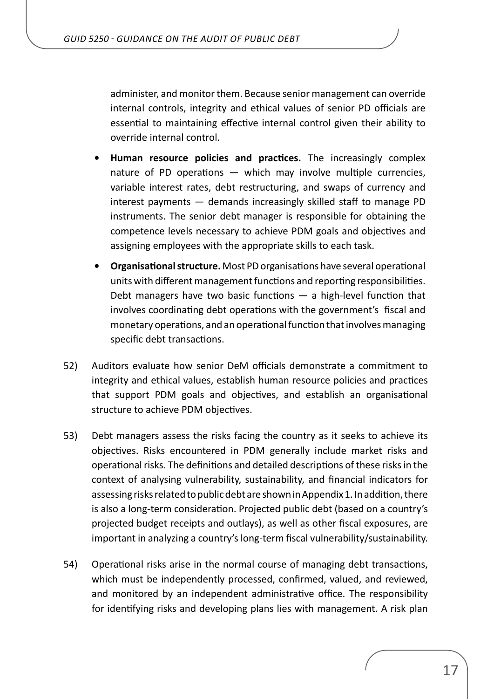administer, and monitor them. Because senior management can override internal controls, integrity and ethical values of senior PD officials are essential to maintaining effective internal control given their ability to override internal control.

- **• Human resource policies and practices.** The increasingly complex nature of PD operations — which may involve multiple currencies, variable interest rates, debt restructuring, and swaps of currency and interest payments — demands increasingly skilled staff to manage PD instruments. The senior debt manager is responsible for obtaining the competence levels necessary to achieve PDM goals and objectives and assigning employees with the appropriate skills to each task.
- **• Organisational structure.** Most PD organisations have several operational units with different management functions and reporting responsibilities. Debt managers have two basic functions  $-$  a high-level function that involves coordinating debt operations with the government's fiscal and monetary operations, and an operational function that involves managing specific debt transactions.
- 52) Auditors evaluate how senior DeM officials demonstrate a commitment to integrity and ethical values, establish human resource policies and practices that support PDM goals and objectives, and establish an organisational structure to achieve PDM objectives.
- 53) Debt managers assess the risks facing the country as it seeks to achieve its objectives. Risks encountered in PDM generally include market risks and operational risks. The definitions and detailed descriptions of these risks in the context of analysing vulnerability, sustainability, and financial indicators for assessing risks related to public debt are shown in Appendix 1. In addition, there is also a long-term consideration. Projected public debt (based on a country's projected budget receipts and outlays), as well as other fiscal exposures, are important in analyzing a country's long-term fiscal vulnerability/sustainability.
- 54) Operational risks arise in the normal course of managing debt transactions, which must be independently processed, confirmed, valued, and reviewed, and monitored by an independent administrative office. The responsibility for identifying risks and developing plans lies with management. A risk plan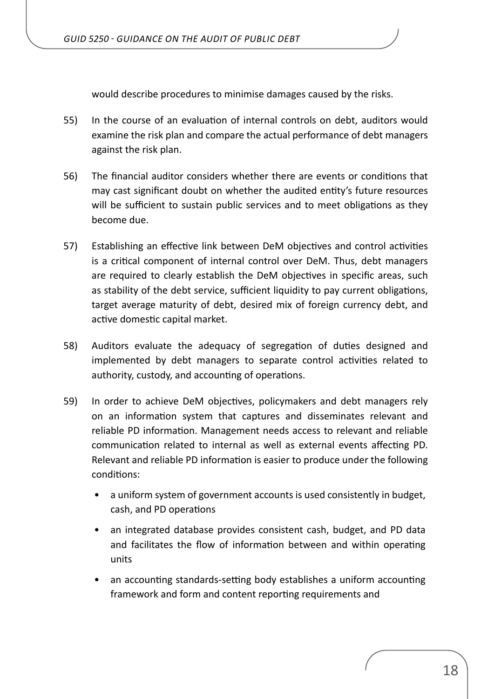would describe procedures to minimise damages caused by the risks.

- 55) In the course of an evaluation of internal controls on debt, auditors would examine the risk plan and compare the actual performance of debt managers against the risk plan.
- 56) The financial auditor considers whether there are events or conditions that may cast significant doubt on whether the audited entity's future resources will be sufficient to sustain public services and to meet obligations as they become due.
- 57) Establishing an effective link between DeM objectives and control activities is a critical component of internal control over DeM. Thus, debt managers are required to clearly establish the DeM objectives in specific areas, such as stability of the debt service, sufficient liquidity to pay current obligations, target average maturity of debt, desired mix of foreign currency debt, and active domestic capital market.
- 58) Auditors evaluate the adequacy of segregation of duties designed and implemented by debt managers to separate control activities related to authority, custody, and accounting of operations.
- 59) In order to achieve DeM objectives, policymakers and debt managers rely on an information system that captures and disseminates relevant and reliable PD information. Management needs access to relevant and reliable communication related to internal as well as external events affecting PD. Relevant and reliable PD information is easier to produce under the following conditions:
	- a uniform system of government accounts is used consistently in budget, cash, and PD operations
	- an integrated database provides consistent cash, budget, and PD data and facilitates the flow of information between and within operating units
	- an accounting standards-setting body establishes a uniform accounting framework and form and content reporting requirements and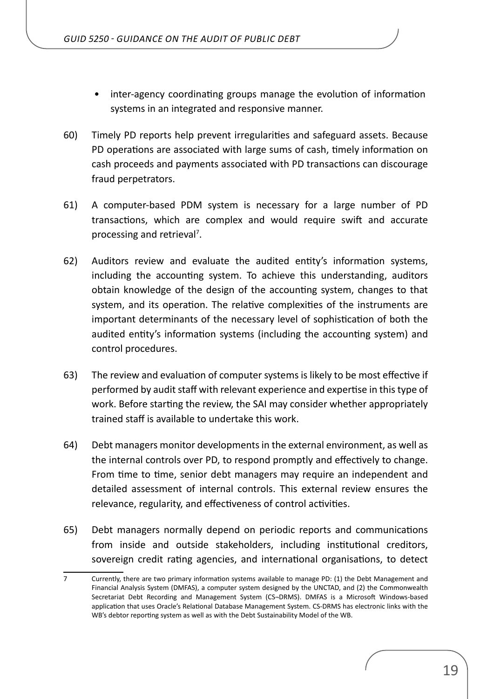- inter-agency coordinating groups manage the evolution of information systems in an integrated and responsive manner.
- 60) Timely PD reports help prevent irregularities and safeguard assets. Because PD operations are associated with large sums of cash, timely information on cash proceeds and payments associated with PD transactions can discourage fraud perpetrators.
- 61) A computer-based PDM system is necessary for a large number of PD transactions, which are complex and would require swift and accurate processing and retrieval<sup>7</sup>.
- 62) Auditors review and evaluate the audited entity's information systems, including the accounting system. To achieve this understanding, auditors obtain knowledge of the design of the accounting system, changes to that system, and its operation. The relative complexities of the instruments are important determinants of the necessary level of sophistication of both the audited entity's information systems (including the accounting system) and control procedures.
- 63) The review and evaluation of computer systems is likely to be most effective if performed by audit staff with relevant experience and expertise in this type of work. Before starting the review, the SAI may consider whether appropriately trained staff is available to undertake this work.
- 64) Debt managers monitor developments in the external environment, as well as the internal controls over PD, to respond promptly and effectively to change. From time to time, senior debt managers may require an independent and detailed assessment of internal controls. This external review ensures the relevance, regularity, and effectiveness of control activities.
- 65) Debt managers normally depend on periodic reports and communications from inside and outside stakeholders, including institutional creditors, sovereign credit rating agencies, and international organisations, to detect

<sup>7</sup> Currently, there are two primary information systems available to manage PD: (1) the Debt Management and Financial Analysis System (DMFAS), a computer system designed by the UNCTAD, and (2) the Commonwealth Secretariat Debt Recording and Management System (CS¬DRMS). DMFAS is a Microsoft Windows-based application that uses Oracle's Relational Database Management System. CS-DRMS has electronic links with the WB's debtor reporting system as well as with the Debt Sustainability Model of the WB.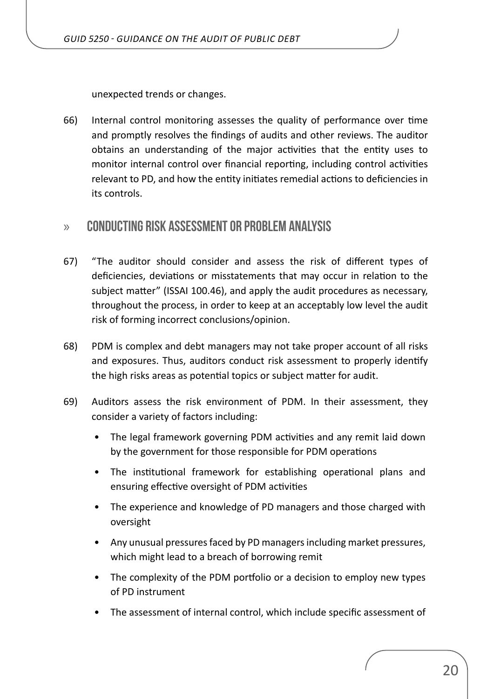<span id="page-19-0"></span>unexpected trends or changes.

66) Internal control monitoring assesses the quality of performance over time and promptly resolves the findings of audits and other reviews. The auditor obtains an understanding of the major activities that the entity uses to monitor internal control over financial reporting, including control activities relevant to PD, and how the entity initiates remedial actions to deficiencies in its controls.

## » **CONDUCTING RISK ASSESSMENT OR PROBLEM ANALYSIS**

- 67) "The auditor should consider and assess the risk of different types of deficiencies, deviations or misstatements that may occur in relation to the subject matter" (ISSAI 100.46), and apply the audit procedures as necessary, throughout the process, in order to keep at an acceptably low level the audit risk of forming incorrect conclusions/opinion.
- 68) PDM is complex and debt managers may not take proper account of all risks and exposures. Thus, auditors conduct risk assessment to properly identify the high risks areas as potential topics or subject matter for audit.
- 69) Auditors assess the risk environment of PDM. In their assessment, they consider a variety of factors including:
	- The legal framework governing PDM activities and any remit laid down by the government for those responsible for PDM operations
	- The institutional framework for establishing operational plans and ensuring effective oversight of PDM activities
	- The experience and knowledge of PD managers and those charged with oversight
	- Any unusual pressures faced by PD managers including market pressures, which might lead to a breach of borrowing remit
	- The complexity of the PDM portfolio or a decision to employ new types of PD instrument
	- The assessment of internal control, which include specific assessment of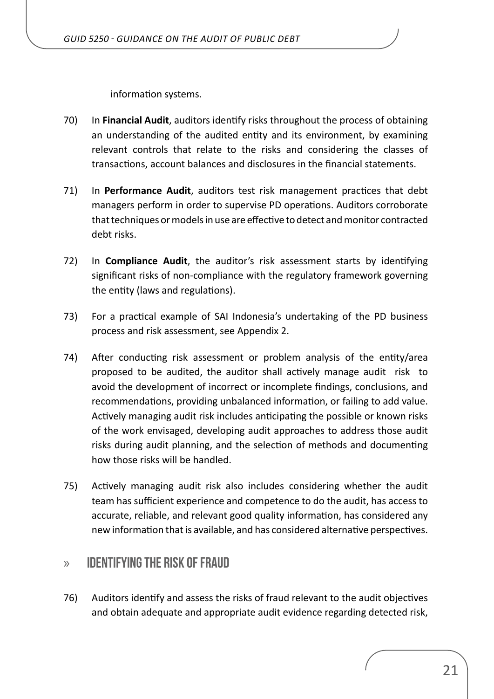information systems.

- <span id="page-20-0"></span>70) In **Financial Audit**, auditors identify risks throughout the process of obtaining an understanding of the audited entity and its environment, by examining relevant controls that relate to the risks and considering the classes of transactions, account balances and disclosures in the financial statements.
- 71) In **Performance Audit**, auditors test risk management practices that debt managers perform in order to supervise PD operations. Auditors corroborate that techniques or models in use are effective to detect and monitor contracted debt risks.
- 72) In **Compliance Audit**, the auditor's risk assessment starts by identifying significant risks of non-compliance with the regulatory framework governing the entity (laws and regulations).
- 73) For a practical example of SAI Indonesia's undertaking of the PD business process and risk assessment, see Appendix 2.
- 74) After conducting risk assessment or problem analysis of the entity/area proposed to be audited, the auditor shall actively manage audit risk to avoid the development of incorrect or incomplete findings, conclusions, and recommendations, providing unbalanced information, or failing to add value. Actively managing audit risk includes anticipating the possible or known risks of the work envisaged, developing audit approaches to address those audit risks during audit planning, and the selection of methods and documenting how those risks will be handled.
- 75) Actively managing audit risk also includes considering whether the audit team has sufficient experience and competence to do the audit, has access to accurate, reliable, and relevant good quality information, has considered any new information that is available, and has considered alternative perspectives.

## » **IDENTIFYING THE RISK OF FRAUD**

76) Auditors identify and assess the risks of fraud relevant to the audit objectives and obtain adequate and appropriate audit evidence regarding detected risk,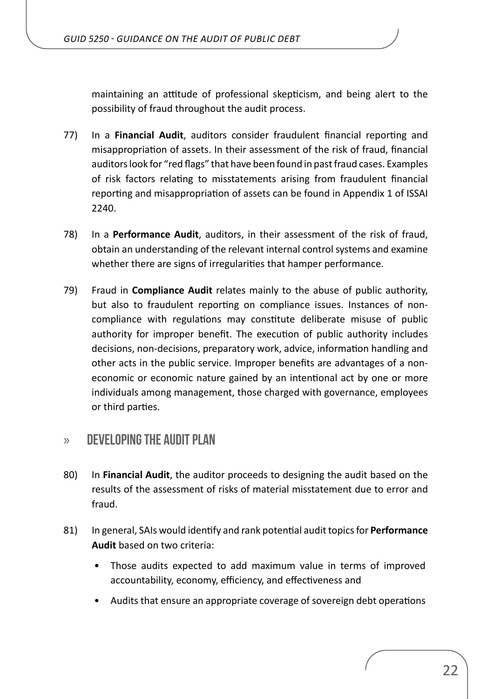<span id="page-21-0"></span>maintaining an attitude of professional skepticism, and being alert to the possibility of fraud throughout the audit process.

- 77) In a **Financial Audit**, auditors consider fraudulent financial reporting and misappropriation of assets. In their assessment of the risk of fraud, financial auditors look for "red flags" that have been found in past fraud cases. Examples of risk factors relating to misstatements arising from fraudulent financial reporting and misappropriation of assets can be found in Appendix 1 of ISSAI 2240.
- 78) In a **Performance Audit**, auditors, in their assessment of the risk of fraud, obtain an understanding of the relevant internal control systems and examine whether there are signs of irregularities that hamper performance.
- 79) Fraud in **Compliance Audit** relates mainly to the abuse of public authority, but also to fraudulent reporting on compliance issues. Instances of noncompliance with regulations may constitute deliberate misuse of public authority for improper benefit. The execution of public authority includes decisions, non-decisions, preparatory work, advice, information handling and other acts in the public service. Improper benefits are advantages of a noneconomic or economic nature gained by an intentional act by one or more individuals among management, those charged with governance, employees or third parties.

## » **DEVELOPING THE AUDIT PLAN**

- 80) In **Financial Audit**, the auditor proceeds to designing the audit based on the results of the assessment of risks of material misstatement due to error and fraud.
- 81) In general, SAIs would identify and rank potential audit topics for **Performance Audit** based on two criteria:
	- Those audits expected to add maximum value in terms of improved accountability, economy, efficiency, and effectiveness and
	- Audits that ensure an appropriate coverage of sovereign debt operations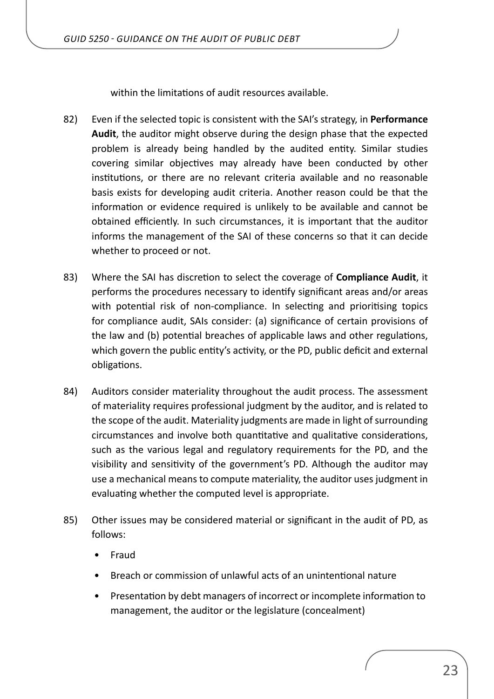within the limitations of audit resources available.

- 82) Even if the selected topic is consistent with the SAI's strategy, in **Performance Audit**, the auditor might observe during the design phase that the expected problem is already being handled by the audited entity. Similar studies covering similar objectives may already have been conducted by other institutions, or there are no relevant criteria available and no reasonable basis exists for developing audit criteria. Another reason could be that the information or evidence required is unlikely to be available and cannot be obtained efficiently. In such circumstances, it is important that the auditor informs the management of the SAI of these concerns so that it can decide whether to proceed or not.
- 83) Where the SAI has discretion to select the coverage of **Compliance Audit**, it performs the procedures necessary to identify significant areas and/or areas with potential risk of non-compliance. In selecting and prioritising topics for compliance audit, SAIs consider: (a) significance of certain provisions of the law and (b) potential breaches of applicable laws and other regulations, which govern the public entity's activity, or the PD, public deficit and external obligations.
- 84) Auditors consider materiality throughout the audit process. The assessment of materiality requires professional judgment by the auditor, and is related to the scope of the audit. Materiality judgments are made in light of surrounding circumstances and involve both quantitative and qualitative considerations, such as the various legal and regulatory requirements for the PD, and the visibility and sensitivity of the government's PD. Although the auditor may use a mechanical means to compute materiality, the auditor uses judgment in evaluating whether the computed level is appropriate.
- 85) Other issues may be considered material or significant in the audit of PD, as follows:
	- Fraud
	- Breach or commission of unlawful acts of an unintentional nature
	- Presentation by debt managers of incorrect or incomplete information to management, the auditor or the legislature (concealment)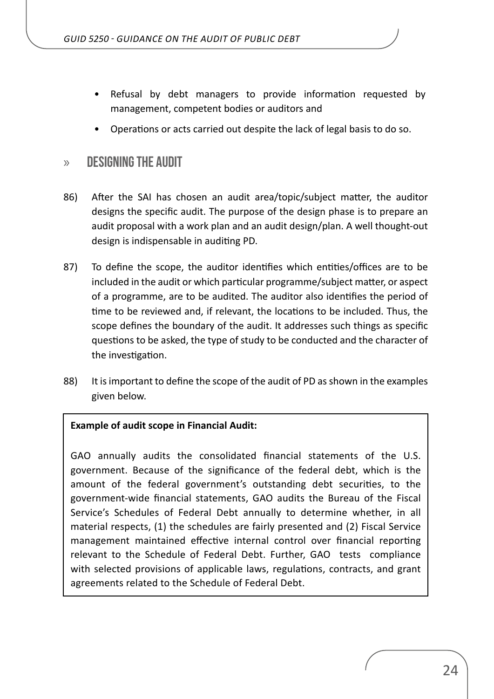- <span id="page-23-0"></span>Refusal by debt managers to provide information requested by management, competent bodies or auditors and
- Operations or acts carried out despite the lack of legal basis to do so.

### » **DESIGNING THE AUDIT**

- 86) After the SAI has chosen an audit area/topic/subject matter, the auditor designs the specific audit. The purpose of the design phase is to prepare an audit proposal with a work plan and an audit design/plan. A well thought-out design is indispensable in auditing PD.
- 87) To define the scope, the auditor identifies which entities/offices are to be included in the audit or which particular programme/subject matter, or aspect of a programme, are to be audited. The auditor also identifies the period of time to be reviewed and, if relevant, the locations to be included. Thus, the scope defines the boundary of the audit. It addresses such things as specific questions to be asked, the type of study to be conducted and the character of the investigation.
- 88) It is important to define the scope of the audit of PD as shown in the examples given below.

#### **Example of audit scope in Financial Audit:**

GAO annually audits the consolidated financial statements of the U.S. government. Because of the significance of the federal debt, which is the amount of the federal government's outstanding debt securities, to the government-wide financial statements, GAO audits the Bureau of the Fiscal Service's Schedules of Federal Debt annually to determine whether, in all material respects, (1) the schedules are fairly presented and (2) Fiscal Service management maintained effective internal control over financial reporting relevant to the Schedule of Federal Debt. Further, GAO tests compliance with selected provisions of applicable laws, regulations, contracts, and grant agreements related to the Schedule of Federal Debt.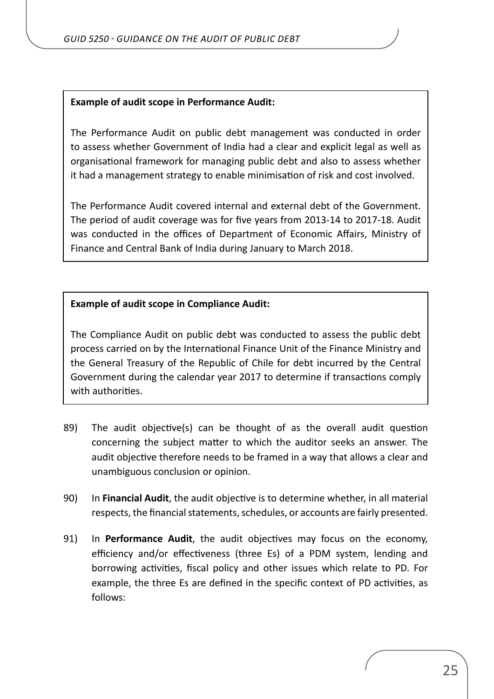#### **Example of audit scope in Performance Audit:**

The Performance Audit on public debt management was conducted in order to assess whether Government of India had a clear and explicit legal as well as organisational framework for managing public debt and also to assess whether it had a management strategy to enable minimisation of risk and cost involved.

The Performance Audit covered internal and external debt of the Government. The period of audit coverage was for five years from 2013-14 to 2017-18. Audit was conducted in the offices of Department of Economic Affairs, Ministry of Finance and Central Bank of India during January to March 2018.

#### **Example of audit scope in Compliance Audit:**

The Compliance Audit on public debt was conducted to assess the public debt process carried on by the International Finance Unit of the Finance Ministry and the General Treasury of the Republic of Chile for debt incurred by the Central Government during the calendar year 2017 to determine if transactions comply with authorities.

- 89) The audit objective(s) can be thought of as the overall audit question concerning the subject matter to which the auditor seeks an answer. The audit objective therefore needs to be framed in a way that allows a clear and unambiguous conclusion or opinion.
- 90) In **Financial Audit**, the audit objective is to determine whether, in all material respects, the financial statements, schedules, or accounts are fairly presented.
- 91) In **Performance Audit**, the audit objectives may focus on the economy, efficiency and/or effectiveness (three Es) of a PDM system, lending and borrowing activities, fiscal policy and other issues which relate to PD. For example, the three Es are defined in the specific context of PD activities, as follows: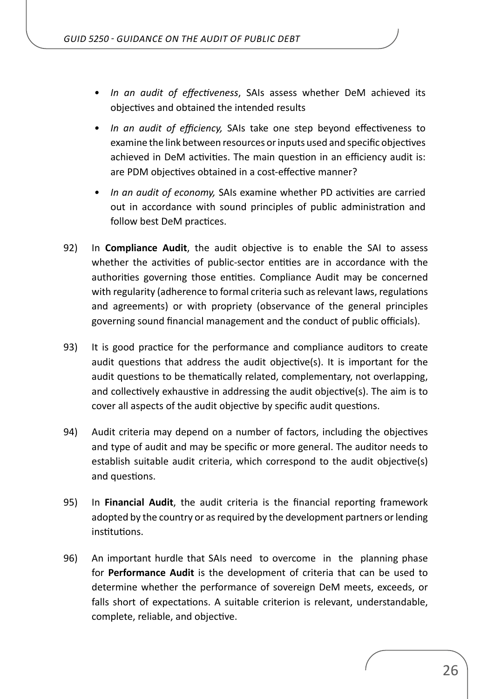- *• In an audit of effectiveness*, SAIs assess whether DeM achieved its objectives and obtained the intended results
- *• In an audit of efficiency,* SAIs take one step beyond effectiveness to examine the link between resources or inputs used and specific objectives achieved in DeM activities. The main question in an efficiency audit is: are PDM objectives obtained in a cost-effective manner?
- *• In an audit of economy,* SAIs examine whether PD activities are carried out in accordance with sound principles of public administration and follow best DeM practices.
- 92) In **Compliance Audit**, the audit objective is to enable the SAI to assess whether the activities of public-sector entities are in accordance with the authorities governing those entities. Compliance Audit may be concerned with regularity (adherence to formal criteria such as relevant laws, regulations and agreements) or with propriety (observance of the general principles governing sound financial management and the conduct of public officials).
- 93) It is good practice for the performance and compliance auditors to create audit questions that address the audit objective(s). It is important for the audit questions to be thematically related, complementary, not overlapping, and collectively exhaustive in addressing the audit objective(s). The aim is to cover all aspects of the audit objective by specific audit questions.
- 94) Audit criteria may depend on a number of factors, including the objectives and type of audit and may be specific or more general. The auditor needs to establish suitable audit criteria, which correspond to the audit objective(s) and questions.
- 95) In **Financial Audit**, the audit criteria is the financial reporting framework adopted by the country or as required by the development partners or lending institutions.
- 96) An important hurdle that SAIs need to overcome in the planning phase for **Performance Audit** is the development of criteria that can be used to determine whether the performance of sovereign DeM meets, exceeds, or falls short of expectations. A suitable criterion is relevant, understandable, complete, reliable, and objective.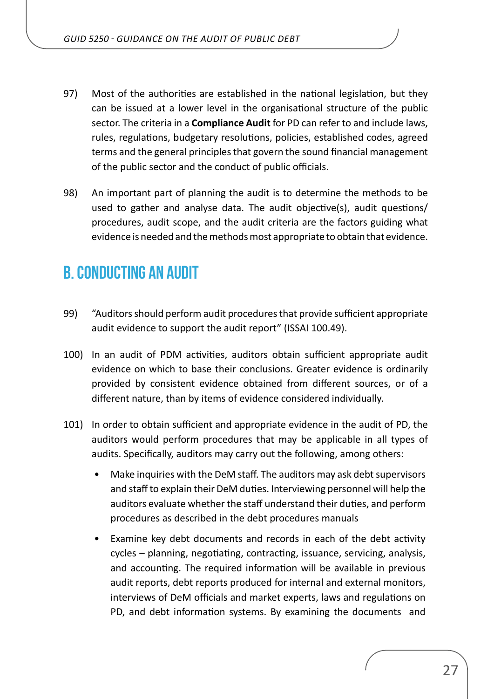- <span id="page-26-0"></span>97) Most of the authorities are established in the national legislation, but they can be issued at a lower level in the organisational structure of the public sector. The criteria in a **Compliance Audit** for PD can refer to and include laws, rules, regulations, budgetary resolutions, policies, established codes, agreed terms and the general principles that govern the sound financial management of the public sector and the conduct of public officials.
- 98) An important part of planning the audit is to determine the methods to be used to gather and analyse data. The audit objective(s), audit questions/ procedures, audit scope, and the audit criteria are the factors guiding what evidence is needed and the methods most appropriate to obtain that evidence.

## **B. CONDUCTING AN AUDIT**

- 99) "Auditors should perform audit procedures that provide sufficient appropriate audit evidence to support the audit report" (ISSAI 100.49).
- 100) In an audit of PDM activities, auditors obtain sufficient appropriate audit evidence on which to base their conclusions. Greater evidence is ordinarily provided by consistent evidence obtained from different sources, or of a different nature, than by items of evidence considered individually.
- 101) In order to obtain sufficient and appropriate evidence in the audit of PD, the auditors would perform procedures that may be applicable in all types of audits. Specifically, auditors may carry out the following, among others:
	- Make inquiries with the DeM staff. The auditors may ask debt supervisors and staff to explain their DeM duties. Interviewing personnel will help the auditors evaluate whether the staff understand their duties, and perform procedures as described in the debt procedures manuals
	- Examine key debt documents and records in each of the debt activity cycles – planning, negotiating, contracting, issuance, servicing, analysis, and accounting. The required information will be available in previous audit reports, debt reports produced for internal and external monitors, interviews of DeM officials and market experts, laws and regulations on PD, and debt information systems. By examining the documents and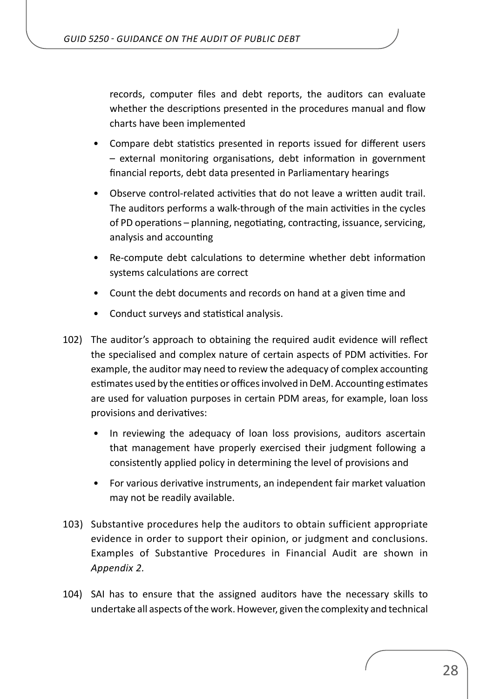records, computer files and debt reports, the auditors can evaluate whether the descriptions presented in the procedures manual and flow charts have been implemented

- Compare debt statistics presented in reports issued for different users – external monitoring organisations, debt information in government financial reports, debt data presented in Parliamentary hearings
- Observe control-related activities that do not leave a written audit trail. The auditors performs a walk-through of the main activities in the cycles of PD operations – planning, negotiating, contracting, issuance, servicing, analysis and accounting
- Re-compute debt calculations to determine whether debt information systems calculations are correct
- Count the debt documents and records on hand at a given time and
- Conduct surveys and statistical analysis.
- 102) The auditor's approach to obtaining the required audit evidence will reflect the specialised and complex nature of certain aspects of PDM activities. For example, the auditor may need to review the adequacy of complex accounting estimates used by the entities or offices involved in DeM. Accounting estimates are used for valuation purposes in certain PDM areas, for example, loan loss provisions and derivatives:
	- In reviewing the adequacy of loan loss provisions, auditors ascertain that management have properly exercised their judgment following a consistently applied policy in determining the level of provisions and
	- For various derivative instruments, an independent fair market valuation may not be readily available.
- 103) Substantive procedures help the auditors to obtain sufficient appropriate evidence in order to support their opinion, or judgment and conclusions. Examples of Substantive Procedures in Financial Audit are shown in *Appendix 2.*
- 104) SAI has to ensure that the assigned auditors have the necessary skills to undertake all aspects of the work. However, given the complexity and technical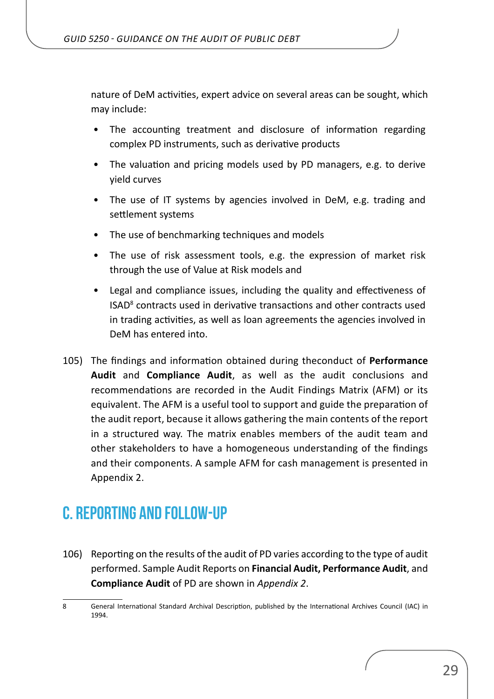<span id="page-28-0"></span>nature of DeM activities, expert advice on several areas can be sought, which may include:

- The accounting treatment and disclosure of information regarding complex PD instruments, such as derivative products
- The valuation and pricing models used by PD managers, e.g. to derive yield curves
- The use of IT systems by agencies involved in DeM, e.g. trading and settlement systems
- The use of benchmarking techniques and models
- The use of risk assessment tools, e.g. the expression of market risk through the use of Value at Risk models and
- Legal and compliance issues, including the quality and effectiveness of ISAD<sup>8</sup> contracts used in derivative transactions and other contracts used in trading activities, as well as loan agreements the agencies involved in DeM has entered into.
- 105) The findings and information obtained during theconduct of **Performance Audit** and **Compliance Audit**, as well as the audit conclusions and recommendations are recorded in the Audit Findings Matrix (AFM) or its equivalent. The AFM is a useful tool to support and guide the preparation of the audit report, because it allows gathering the main contents of the report in a structured way. The matrix enables members of the audit team and other stakeholders to have a homogeneous understanding of the findings and their components. A sample AFM for cash management is presented in Appendix 2.

## **C. REPORTING AND FOLLOW-UP**

106) Reporting on the results of the audit of PD varies according to the type of audit performed. Sample Audit Reports on **Financial Audit, Performance Audit**, and **Compliance Audit** of PD are shown in *Appendix 2*.

<sup>8</sup> General International Standard Archival Description, published by the International Archives Council (IAC) in 1994.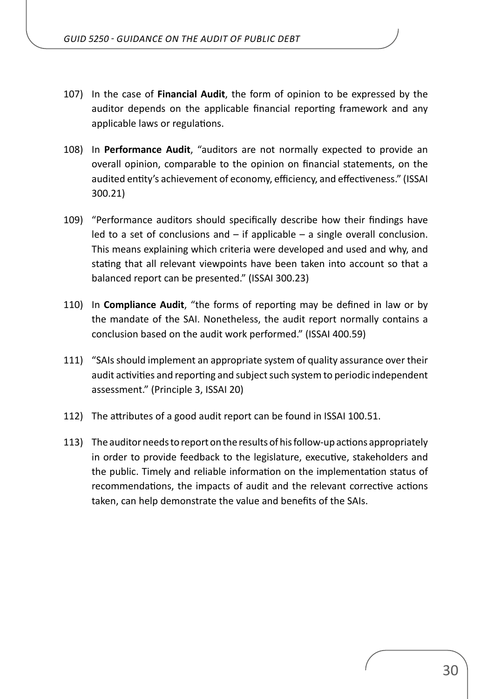- 107) In the case of **Financial Audit**, the form of opinion to be expressed by the auditor depends on the applicable financial reporting framework and any applicable laws or regulations.
- 108) In **Performance Audit**, "auditors are not normally expected to provide an overall opinion, comparable to the opinion on financial statements, on the audited entity's achievement of economy, efficiency, and effectiveness." (ISSAI 300.21)
- 109) "Performance auditors should specifically describe how their findings have led to a set of conclusions and  $-$  if applicable  $-$  a single overall conclusion. This means explaining which criteria were developed and used and why, and stating that all relevant viewpoints have been taken into account so that a balanced report can be presented." (ISSAI 300.23)
- 110) In **Compliance Audit**, "the forms of reporting may be defined in law or by the mandate of the SAI. Nonetheless, the audit report normally contains a conclusion based on the audit work performed." (ISSAI 400.59)
- 111) "SAIs should implement an appropriate system of quality assurance over their audit activities and reporting and subject such system to periodic independent assessment." (Principle 3, ISSAI 20)
- 112) The attributes of a good audit report can be found in ISSAI 100.51.
- 113) The auditor needs to report on the results of his follow-up actions appropriately in order to provide feedback to the legislature, executive, stakeholders and the public. Timely and reliable information on the implementation status of recommendations, the impacts of audit and the relevant corrective actions taken, can help demonstrate the value and benefits of the SAIs.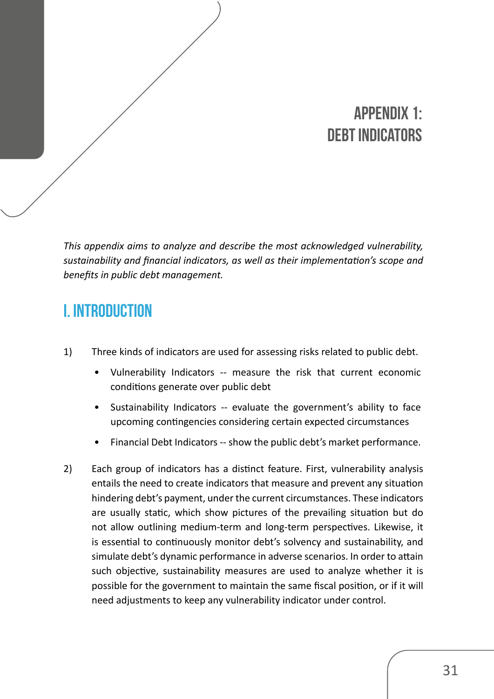# **APPENDIX 1: Debt Indicators**

<span id="page-30-0"></span>*This appendix aims to analyze and describe the most acknowledged vulnerability, sustainability and financial indicators, as well as their implementation's scope and benefits in public debt management.*

## **I. INTRODUCTION**

- 1) Three kinds of indicators are used for assessing risks related to public debt.
	- Vulnerability Indicators -- measure the risk that current economic conditions generate over public debt
	- Sustainability Indicators -- evaluate the government's ability to face upcoming contingencies considering certain expected circumstances
	- Financial Debt Indicators -- show the public debt's market performance.
- 2) Each group of indicators has a distinct feature. First, vulnerability analysis entails the need to create indicators that measure and prevent any situation hindering debt's payment, under the current circumstances. These indicators are usually static, which show pictures of the prevailing situation but do not allow outlining medium-term and long-term perspectives. Likewise, it is essential to continuously monitor debt's solvency and sustainability, and simulate debt's dynamic performance in adverse scenarios. In order to attain such objective, sustainability measures are used to analyze whether it is possible for the government to maintain the same fiscal position, or if it will need adjustments to keep any vulnerability indicator under control.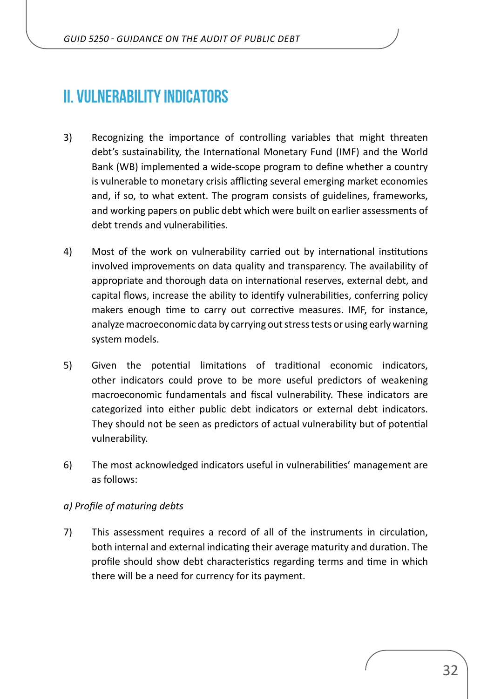## <span id="page-31-0"></span>**II. VULNERABILITY INDICATORS**

- 3) Recognizing the importance of controlling variables that might threaten debt's sustainability, the International Monetary Fund (IMF) and the World Bank (WB) implemented a wide-scope program to define whether a country is vulnerable to monetary crisis afflicting several emerging market economies and, if so, to what extent. The program consists of guidelines, frameworks, and working papers on public debt which were built on earlier assessments of debt trends and vulnerabilities.
- 4) Most of the work on vulnerability carried out by international institutions involved improvements on data quality and transparency. The availability of appropriate and thorough data on international reserves, external debt, and capital flows, increase the ability to identify vulnerabilities, conferring policy makers enough time to carry out corrective measures. IMF, for instance, analyze macroeconomic data by carrying out stress tests or using early warning system models.
- 5) Given the potential limitations of traditional economic indicators, other indicators could prove to be more useful predictors of weakening macroeconomic fundamentals and fiscal vulnerability. These indicators are categorized into either public debt indicators or external debt indicators. They should not be seen as predictors of actual vulnerability but of potential vulnerability.
- 6) The most acknowledged indicators useful in vulnerabilities' management are as follows:

#### *a) Profile of maturing debts*

7) This assessment requires a record of all of the instruments in circulation, both internal and external indicating their average maturity and duration. The profile should show debt characteristics regarding terms and time in which there will be a need for currency for its payment.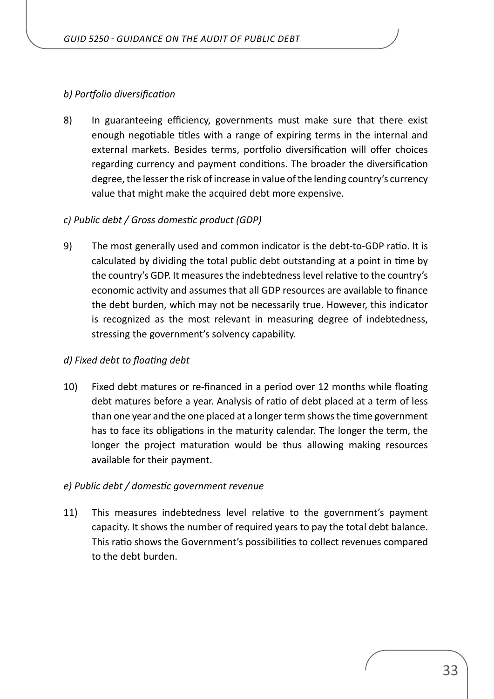#### *b) Portfolio diversification*

8) In guaranteeing efficiency, governments must make sure that there exist enough negotiable titles with a range of expiring terms in the internal and external markets. Besides terms, portfolio diversification will offer choices regarding currency and payment conditions. The broader the diversification degree, the lesser the risk of increase in value of the lending country's currency value that might make the acquired debt more expensive.

#### *c) Public debt / Gross domestic product (GDP)*

9) The most generally used and common indicator is the debt-to-GDP ratio. It is calculated by dividing the total public debt outstanding at a point in time by the country's GDP. It measures the indebtedness level relative to the country's economic activity and assumes that all GDP resources are available to finance the debt burden, which may not be necessarily true. However, this indicator is recognized as the most relevant in measuring degree of indebtedness, stressing the government's solvency capability.

#### *d) Fixed debt to floating debt*

10) Fixed debt matures or re-financed in a period over 12 months while floating debt matures before a year. Analysis of ratio of debt placed at a term of less than one year and the one placed at a longer term shows the time government has to face its obligations in the maturity calendar. The longer the term, the longer the project maturation would be thus allowing making resources available for their payment.

#### *e) Public debt / domestic government revenue*

11) This measures indebtedness level relative to the government's payment capacity. It shows the number of required years to pay the total debt balance. This ratio shows the Government's possibilities to collect revenues compared to the debt burden.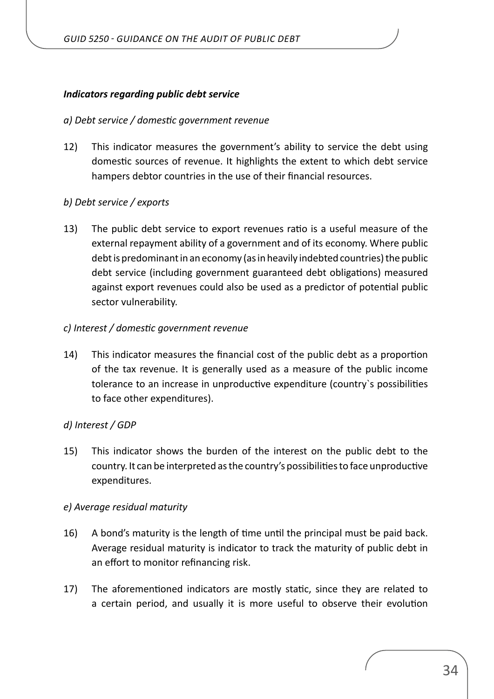#### *Indicators regarding public debt service*

#### *a) Debt service / domestic government revenue*

12) This indicator measures the government's ability to service the debt using domestic sources of revenue. It highlights the extent to which debt service hampers debtor countries in the use of their financial resources.

#### *b) Debt service / exports*

13) The public debt service to export revenues ratio is a useful measure of the external repayment ability of a government and of its economy. Where public debt is predominant in an economy (as in heavily indebted countries) the public debt service (including government guaranteed debt obligations) measured against export revenues could also be used as a predictor of potential public sector vulnerability.

#### *c) Interest / domestic government revenue*

14) This indicator measures the financial cost of the public debt as a proportion of the tax revenue. It is generally used as a measure of the public income tolerance to an increase in unproductive expenditure (country`s possibilities to face other expenditures).

#### *d) Interest / GDP*

15) This indicator shows the burden of the interest on the public debt to the country. It can be interpreted as the country's possibilities to face unproductive expenditures.

#### *e) Average residual maturity*

- 16) A bond's maturity is the length of time until the principal must be paid back. Average residual maturity is indicator to track the maturity of public debt in an effort to monitor refinancing risk.
- 17) The aforementioned indicators are mostly static, since they are related to a certain period, and usually it is more useful to observe their evolution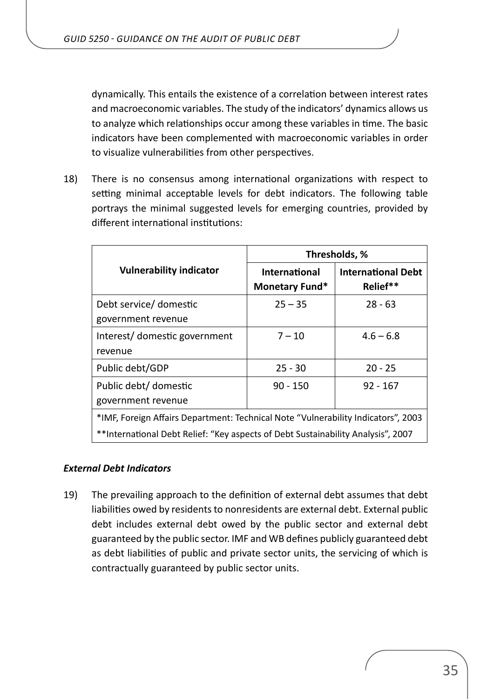dynamically. This entails the existence of a correlation between interest rates and macroeconomic variables. The study of the indicators' dynamics allows us to analyze which relationships occur among these variables in time. The basic indicators have been complemented with macroeconomic variables in order to visualize vulnerabilities from other perspectives.

18) There is no consensus among international organizations with respect to setting minimal acceptable levels for debt indicators. The following table portrays the minimal suggested levels for emerging countries, provided by different international institutions:

|                                                                                   |                                        | Thresholds, %                         |
|-----------------------------------------------------------------------------------|----------------------------------------|---------------------------------------|
| <b>Vulnerability indicator</b>                                                    | <b>International</b><br>Monetary Fund* | <b>International Debt</b><br>Relief** |
| Debt service/ domestic<br>government revenue                                      | $25 - 35$                              | $28 - 63$                             |
| Interest/ domestic government<br>revenue                                          | $7 - 10$                               | $4.6 - 6.8$                           |
| Public debt/GDP                                                                   | $25 - 30$                              | $20 - 25$                             |
| Public debt/ domestic<br>government revenue                                       | $90 - 150$                             | $92 - 167$                            |
| *IMF, Foreign Affairs Department: Technical Note "Vulnerability Indicators", 2003 |                                        |                                       |
| **International Debt Relief: "Key aspects of Debt Sustainability Analysis", 2007  |                                        |                                       |

#### *External Debt Indicators*

19) The prevailing approach to the definition of external debt assumes that debt liabilities owed by residents to nonresidents are external debt. External public debt includes external debt owed by the public sector and external debt guaranteed by the public sector. IMF and WB defines publicly guaranteed debt as debt liabilities of public and private sector units, the servicing of which is contractually guaranteed by public sector units.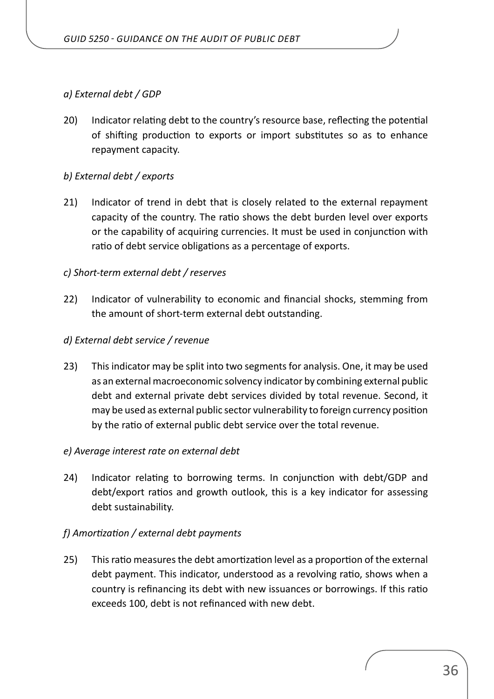#### *a) External debt / GDP*

20) Indicator relating debt to the country's resource base, reflecting the potential of shifting production to exports or import substitutes so as to enhance repayment capacity.

#### *b) External debt / exports*

21) Indicator of trend in debt that is closely related to the external repayment capacity of the country. The ratio shows the debt burden level over exports or the capability of acquiring currencies. It must be used in conjunction with ratio of debt service obligations as a percentage of exports.

#### *c) Short-term external debt / reserves*

22) Indicator of vulnerability to economic and financial shocks, stemming from the amount of short-term external debt outstanding.

#### *d) External debt service / revenue*

23) This indicator may be split into two segments for analysis. One, it may be used as an external macroeconomic solvency indicator by combining external public debt and external private debt services divided by total revenue. Second, it may be used as external public sector vulnerability to foreign currency position by the ratio of external public debt service over the total revenue.

#### *e) Average interest rate on external debt*

24) Indicator relating to borrowing terms. In conjunction with debt/GDP and debt/export ratios and growth outlook, this is a key indicator for assessing debt sustainability.

#### *f) Amortization / external debt payments*

25) This ratio measures the debt amortization level as a proportion of the external debt payment. This indicator, understood as a revolving ratio, shows when a country is refinancing its debt with new issuances or borrowings. If this ratio exceeds 100, debt is not refinanced with new debt.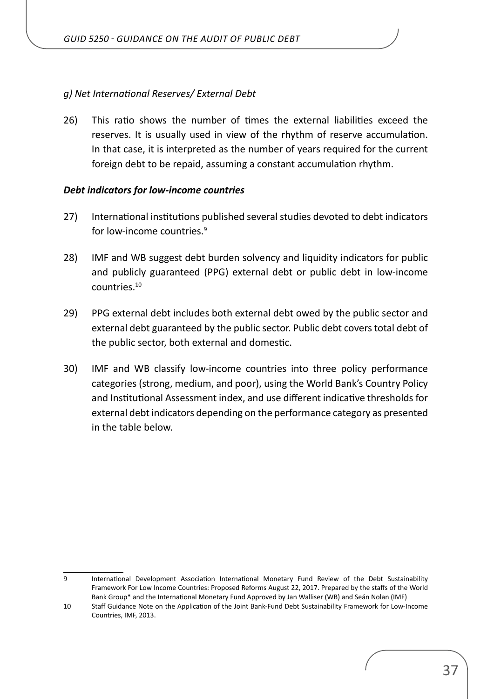#### *g) Net International Reserves/ External Debt*

26) This ratio shows the number of times the external liabilities exceed the reserves. It is usually used in view of the rhythm of reserve accumulation. In that case, it is interpreted as the number of years required for the current foreign debt to be repaid, assuming a constant accumulation rhythm.

#### *Debt indicators for low-income countries*

- 27) International institutions published several studies devoted to debt indicators for low-income countries.<sup>9</sup>
- 28) IMF and WB suggest debt burden solvency and liquidity indicators for public and publicly guaranteed (PPG) external debt or public debt in low-income countries.<sup>10</sup>
- 29) PPG external debt includes both external debt owed by the public sector and external debt guaranteed by the public sector. Public debt covers total debt of the public sector, both external and domestic.
- 30) IMF and WB classify low-income countries into three policy performance categories (strong, medium, and poor), using the World Bank's Country Policy and Institutional Assessment index, and use different indicative thresholds for external debt indicators depending on the performance category as presented in the table below.

<sup>9</sup> International Development Association International Monetary Fund Review of the Debt Sustainability Framework For Low Income Countries: Proposed Reforms August 22, 2017. Prepared by the staffs of the World Bank Group\* and the International Monetary Fund Approved by Jan Walliser (WB) and Seán Nolan (IMF)

<sup>10</sup> Staff Guidance Note on the Application of the Joint Bank-Fund Debt Sustainability Framework for Low-Income Countries, IMF, 2013.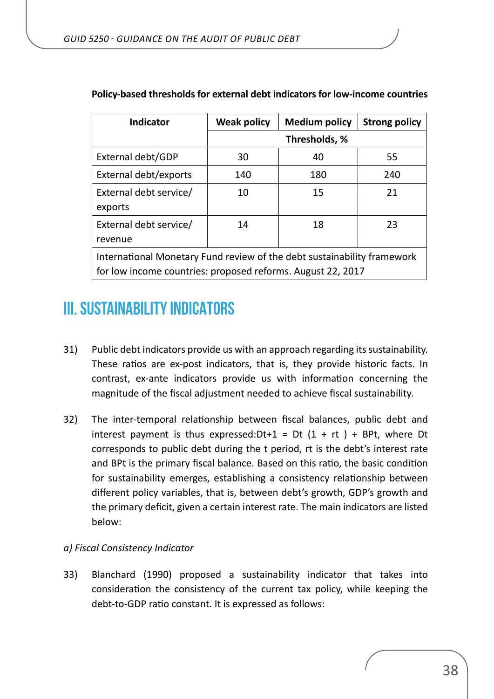| <b>Indicator</b>                                                        | <b>Weak policy</b> | <b>Medium policy</b> | <b>Strong policy</b> |
|-------------------------------------------------------------------------|--------------------|----------------------|----------------------|
|                                                                         |                    | Thresholds, %        |                      |
| External debt/GDP                                                       | 30                 | 40                   | 55                   |
| External debt/exports                                                   | 140                | 180                  | 240                  |
| External debt service/                                                  | 10                 | 15                   | 21                   |
| exports                                                                 |                    |                      |                      |
| External debt service/                                                  | 14                 | 18                   | 23                   |
| revenue                                                                 |                    |                      |                      |
| International Monetary Fund review of the debt sustainability framework |                    |                      |                      |
| for low income countries: proposed reforms. August 22, 2017             |                    |                      |                      |

#### <span id="page-37-0"></span>**Policy-based thresholds for external debt indicators for low-income countries**

## **III. SUSTAINABILITY INDICATORS**

- 31) Public debt indicators provide us with an approach regarding its sustainability. These ratios are ex-post indicators, that is, they provide historic facts. In contrast, ex-ante indicators provide us with information concerning the magnitude of the fiscal adjustment needed to achieve fiscal sustainability.
- 32) The inter-temporal relationship between fiscal balances, public debt and interest payment is thus expressed:  $Dt+1 = Dt (1 + rt) + BPt$ , where Dt corresponds to public debt during the t period, rt is the debt's interest rate and BPt is the primary fiscal balance. Based on this ratio, the basic condition for sustainability emerges, establishing a consistency relationship between different policy variables, that is, between debt's growth, GDP's growth and the primary deficit, given a certain interest rate. The main indicators are listed below:

#### *a) Fiscal Consistency Indicator*

33) Blanchard (1990) proposed a sustainability indicator that takes into consideration the consistency of the current tax policy, while keeping the debt-to-GDP ratio constant. It is expressed as follows: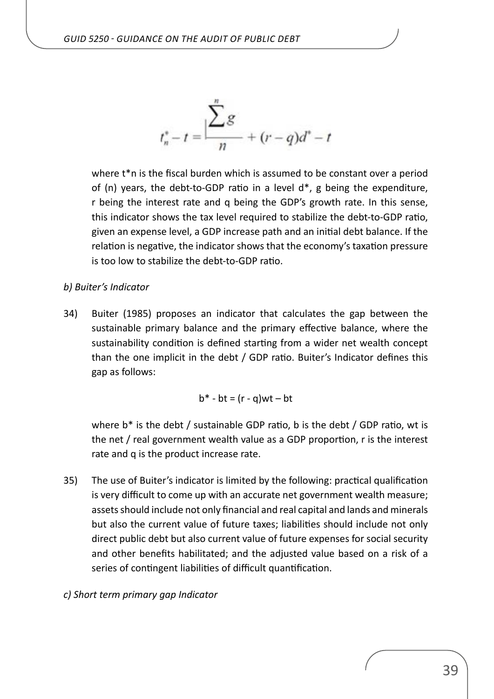$$
t_n^* - t = \frac{\sum_{n=1}^{n} g}{n} + (r - q)d^n - t
$$

where t<sup>\*</sup>n is the fiscal burden which is assumed to be constant over a period of (n) years, the debt-to-GDP ratio in a level d\*, g being the expenditure, r being the interest rate and q being the GDP's growth rate. In this sense, this indicator shows the tax level required to stabilize the debt-to-GDP ratio, given an expense level, a GDP increase path and an initial debt balance. If the relation is negative, the indicator shows that the economy's taxation pressure is too low to stabilize the debt-to-GDP ratio.

#### *b) Buiter's Indicator*

34) Buiter (1985) proposes an indicator that calculates the gap between the sustainable primary balance and the primary effective balance, where the sustainability condition is defined starting from a wider net wealth concept than the one implicit in the debt / GDP ratio. Buiter's Indicator defines this gap as follows:

 $b^*$  -  $bt = (r - q)wt - bt$ 

where b<sup>\*</sup> is the debt / sustainable GDP ratio, b is the debt / GDP ratio, wt is the net / real government wealth value as a GDP proportion, r is the interest rate and q is the product increase rate.

- 35) The use of Buiter's indicator is limited by the following: practical qualification is very difficult to come up with an accurate net government wealth measure; assets should include not only financial and real capital and lands and minerals but also the current value of future taxes; liabilities should include not only direct public debt but also current value of future expenses for social security and other benefits habilitated; and the adjusted value based on a risk of a series of contingent liabilities of difficult quantification.
- *c) Short term primary gap Indicator*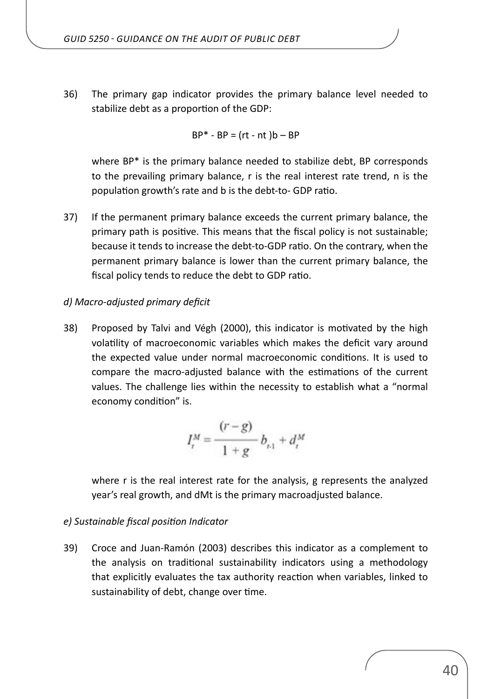36) The primary gap indicator provides the primary balance level needed to stabilize debt as a proportion of the GDP:

$$
BP^* - BP = (rt - nt)b - BP
$$

where BP\* is the primary balance needed to stabilize debt, BP corresponds to the prevailing primary balance, r is the real interest rate trend, n is the population growth's rate and b is the debt-to- GDP ratio.

37) If the permanent primary balance exceeds the current primary balance, the primary path is positive. This means that the fiscal policy is not sustainable; because it tends to increase the debt-to-GDP ratio. On the contrary, when the permanent primary balance is lower than the current primary balance, the fiscal policy tends to reduce the debt to GDP ratio.

#### *d) Macro-adjusted primary deficit*

38) Proposed by Talvi and Végh (2000), this indicator is motivated by the high volatility of macroeconomic variables which makes the deficit vary around the expected value under normal macroeconomic conditions. It is used to compare the macro-adjusted balance with the estimations of the current values. The challenge lies within the necessity to establish what a "normal economy condition" is.

$$
I_t^M = \frac{(r-g)}{1+g} b_{t,1} + d_t^M
$$

where r is the real interest rate for the analysis, g represents the analyzed year's real growth, and dMt is the primary macroadjusted balance.

#### *e) Sustainable fiscal position Indicator*

39) Croce and Juan-Ramón (2003) describes this indicator as a complement to the analysis on traditional sustainability indicators using a methodology that explicitly evaluates the tax authority reaction when variables, linked to sustainability of debt, change over time.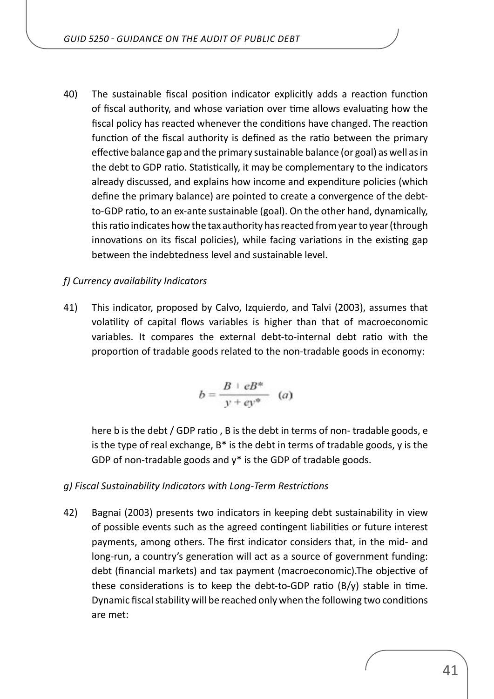40) The sustainable fiscal position indicator explicitly adds a reaction function of fiscal authority, and whose variation over time allows evaluating how the fiscal policy has reacted whenever the conditions have changed. The reaction function of the fiscal authority is defined as the ratio between the primary effective balance gap and the primary sustainable balance (or goal) as well as in the debt to GDP ratio. Statistically, it may be complementary to the indicators already discussed, and explains how income and expenditure policies (which define the primary balance) are pointed to create a convergence of the debtto-GDP ratio, to an ex-ante sustainable (goal). On the other hand, dynamically, this ratio indicates how the tax authority has reacted from year to year (through innovations on its fiscal policies), while facing variations in the existing gap between the indebtedness level and sustainable level.

#### *f) Currency availability Indicators*

41) This indicator, proposed by Calvo, Izquierdo, and Talvi (2003), assumes that volatility of capital flows variables is higher than that of macroeconomic variables. It compares the external debt-to-internal debt ratio with the proportion of tradable goods related to the non-tradable goods in economy:

$$
b = \frac{B + eB^*}{y + ey^*} \quad (a)
$$

here b is the debt / GDP ratio , B is the debt in terms of non- tradable goods, e is the type of real exchange,  $B^*$  is the debt in terms of tradable goods, y is the GDP of non-tradable goods and  $y^*$  is the GDP of tradable goods.

#### *g) Fiscal Sustainability Indicators with Long-Term Restrictions*

42) Bagnai (2003) presents two indicators in keeping debt sustainability in view of possible events such as the agreed contingent liabilities or future interest payments, among others. The first indicator considers that, in the mid- and long-run, a country's generation will act as a source of government funding: debt (financial markets) and tax payment (macroeconomic).The objective of these considerations is to keep the debt-to-GDP ratio (B/y) stable in time. Dynamic fiscal stability will be reached only when the following two conditions are met: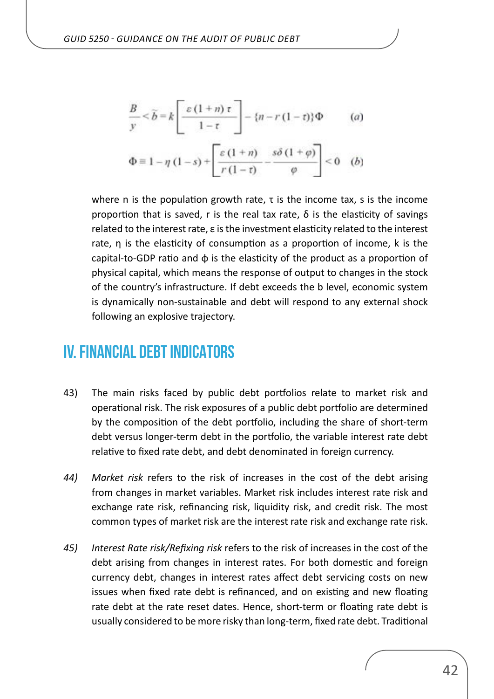<span id="page-41-0"></span>
$$
\frac{B}{y} < \widetilde{b} = k \left[ \frac{\varepsilon (1 + n) \tau}{1 - \tau} \right] - \{n - r (1 - \tau)\} \Phi \qquad (a)
$$

$$
\Phi \equiv 1 - \eta \left( 1 - s \right) + \left[ \frac{\varepsilon \left( 1 + n \right)}{r \left( 1 - \tau \right)} - \frac{s \delta \left( 1 + \varphi \right)}{\varphi} \right] < 0 \quad (b)
$$

where n is the population growth rate, τ is the income tax, s is the income proportion that is saved, r is the real tax rate,  $\delta$  is the elasticity of savings related to the interest rate, ε is the investment elasticity related to the interest rate, η is the elasticity of consumption as a proportion of income, k is the capital-to-GDP ratio and  $\phi$  is the elasticity of the product as a proportion of physical capital, which means the response of output to changes in the stock of the country's infrastructure. If debt exceeds the b level, economic system is dynamically non-sustainable and debt will respond to any external shock following an explosive trajectory.

## **IV. FINANCIAL DEBT INDICATORS**

- 43) The main risks faced by public debt portfolios relate to market risk and operational risk. The risk exposures of a public debt portfolio are determined by the composition of the debt portfolio, including the share of short-term debt versus longer-term debt in the portfolio, the variable interest rate debt relative to fixed rate debt, and debt denominated in foreign currency.
- *44) Market risk* refers to the risk of increases in the cost of the debt arising from changes in market variables. Market risk includes interest rate risk and exchange rate risk, refinancing risk, liquidity risk, and credit risk. The most common types of market risk are the interest rate risk and exchange rate risk.
- *45) Interest Rate risk/Refixing risk* refers to the risk of increases in the cost of the debt arising from changes in interest rates. For both domestic and foreign currency debt, changes in interest rates affect debt servicing costs on new issues when fixed rate debt is refinanced, and on existing and new floating rate debt at the rate reset dates. Hence, short-term or floating rate debt is usually considered to be more risky than long-term, fixed rate debt. Traditional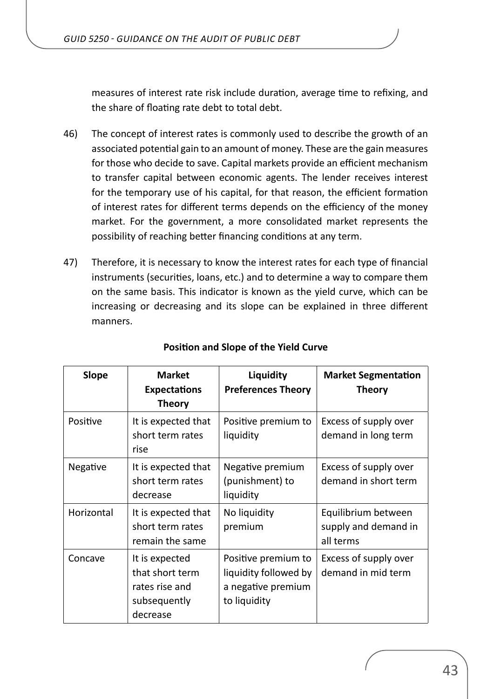measures of interest rate risk include duration, average time to refixing, and the share of floating rate debt to total debt.

- 46) The concept of interest rates is commonly used to describe the growth of an associated potential gain to an amount of money. These are the gain measures for those who decide to save. Capital markets provide an efficient mechanism to transfer capital between economic agents. The lender receives interest for the temporary use of his capital, for that reason, the efficient formation of interest rates for different terms depends on the efficiency of the money market. For the government, a more consolidated market represents the possibility of reaching better financing conditions at any term.
- 47) Therefore, it is necessary to know the interest rates for each type of financial instruments (securities, loans, etc.) and to determine a way to compare them on the same basis. This indicator is known as the yield curve, which can be increasing or decreasing and its slope can be explained in three different manners.

| <b>Slope</b> | <b>Market</b><br><b>Expectations</b><br><b>Theory</b>                           | Liquidity<br><b>Preferences Theory</b>                                             | <b>Market Segmentation</b><br><b>Theory</b>              |
|--------------|---------------------------------------------------------------------------------|------------------------------------------------------------------------------------|----------------------------------------------------------|
| Positive     | It is expected that<br>short term rates<br>rise                                 | Positive premium to<br>liquidity                                                   | Excess of supply over<br>demand in long term             |
| Negative     | It is expected that<br>short term rates<br>decrease                             | Negative premium<br>(punishment) to<br>liquidity                                   | Excess of supply over<br>demand in short term            |
| Horizontal   | It is expected that<br>short term rates<br>remain the same                      | No liquidity<br>premium                                                            | Equilibrium between<br>supply and demand in<br>all terms |
| Concave      | It is expected<br>that short term<br>rates rise and<br>subsequently<br>decrease | Positive premium to<br>liquidity followed by<br>a negative premium<br>to liquidity | Excess of supply over<br>demand in mid term              |

### **Position and Slope of the Yield Curve**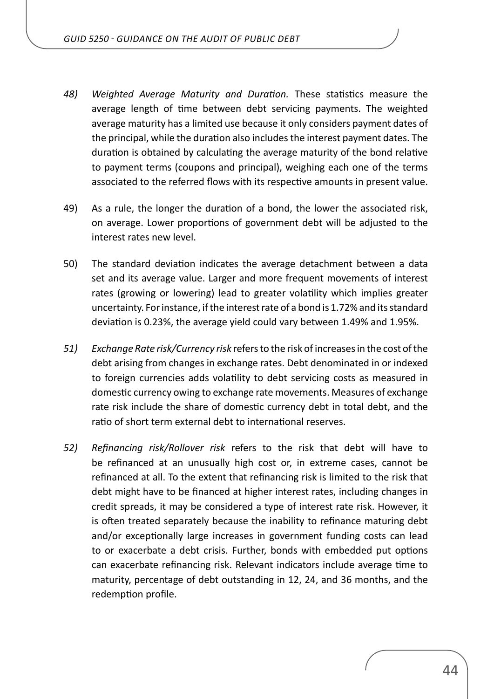- *48) Weighted Average Maturity and Duration.* These statistics measure the average length of time between debt servicing payments. The weighted average maturity has a limited use because it only considers payment dates of the principal, while the duration also includes the interest payment dates. The duration is obtained by calculating the average maturity of the bond relative to payment terms (coupons and principal), weighing each one of the terms associated to the referred flows with its respective amounts in present value.
- 49) As a rule, the longer the duration of a bond, the lower the associated risk, on average. Lower proportions of government debt will be adjusted to the interest rates new level.
- 50) The standard deviation indicates the average detachment between a data set and its average value. Larger and more frequent movements of interest rates (growing or lowering) lead to greater volatility which implies greater uncertainty. For instance, if the interest rate of a bond is 1.72% and its standard deviation is 0.23%, the average yield could vary between 1.49% and 1.95%.
- *51) Exchange Rate risk/Currency risk* refers to the risk of increases in the cost of the debt arising from changes in exchange rates. Debt denominated in or indexed to foreign currencies adds volatility to debt servicing costs as measured in domestic currency owing to exchange rate movements. Measures of exchange rate risk include the share of domestic currency debt in total debt, and the ratio of short term external debt to international reserves.
- *52) Refinancing risk/Rollover risk* refers to the risk that debt will have to be refinanced at an unusually high cost or, in extreme cases, cannot be refinanced at all. To the extent that refinancing risk is limited to the risk that debt might have to be financed at higher interest rates, including changes in credit spreads, it may be considered a type of interest rate risk. However, it is often treated separately because the inability to refinance maturing debt and/or exceptionally large increases in government funding costs can lead to or exacerbate a debt crisis. Further, bonds with embedded put options can exacerbate refinancing risk. Relevant indicators include average time to maturity, percentage of debt outstanding in 12, 24, and 36 months, and the redemption profile.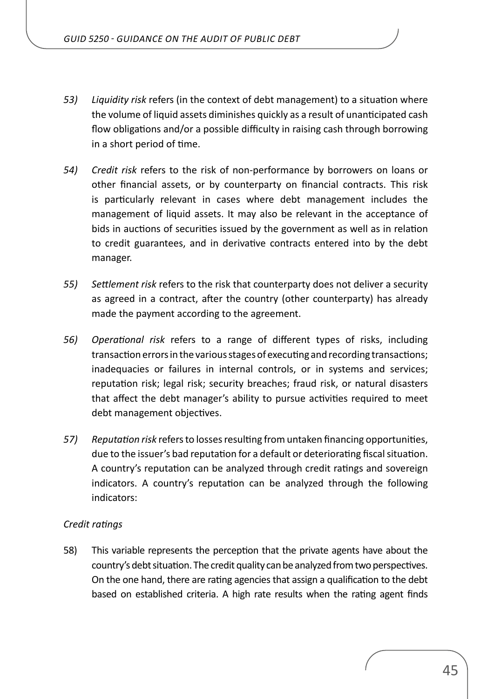- *53) Liquidity risk* refers (in the context of debt management) to a situation where the volume of liquid assets diminishes quickly as a result of unanticipated cash flow obligations and/or a possible difficulty in raising cash through borrowing in a short period of time.
- *54) Credit risk* refers to the risk of non-performance by borrowers on loans or other financial assets, or by counterparty on financial contracts. This risk is particularly relevant in cases where debt management includes the management of liquid assets. It may also be relevant in the acceptance of bids in auctions of securities issued by the government as well as in relation to credit guarantees, and in derivative contracts entered into by the debt manager.
- *55) Settlement risk* refers to the risk that counterparty does not deliver a security as agreed in a contract, after the country (other counterparty) has already made the payment according to the agreement.
- *56) Operational risk* refers to a range of different types of risks, including transaction errors in the various stages of executing and recording transactions; inadequacies or failures in internal controls, or in systems and services; reputation risk; legal risk; security breaches; fraud risk, or natural disasters that affect the debt manager's ability to pursue activities required to meet debt management objectives.
- *57) Reputation risk* refers to losses resulting from untaken financing opportunities, due to the issuer's bad reputation for a default or deteriorating fiscal situation. A country's reputation can be analyzed through credit ratings and sovereign indicators. A country's reputation can be analyzed through the following indicators:

#### *Credit ratings*

58) This variable represents the perception that the private agents have about the country's debt situation. The credit quality can be analyzed from two perspectives. On the one hand, there are rating agencies that assign a qualification to the debt based on established criteria. A high rate results when the rating agent finds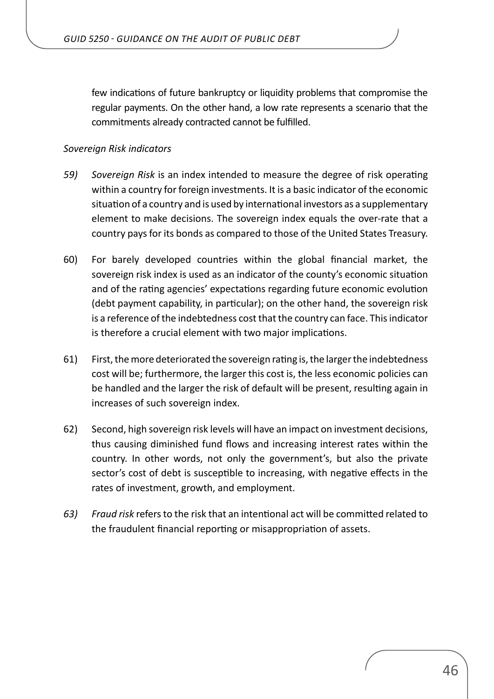few indications of future bankruptcy or liquidity problems that compromise the regular payments. On the other hand, a low rate represents a scenario that the commitments already contracted cannot be fulfilled.

#### *Sovereign Risk indicators*

- *59) Sovereign Risk* is an index intended to measure the degree of risk operating within a country for foreign investments. It is a basic indicator of the economic situation of a country and is used by international investors as a supplementary element to make decisions. The sovereign index equals the over-rate that a country pays for its bonds as compared to those of the United States Treasury.
- 60) For barely developed countries within the global financial market, the sovereign risk index is used as an indicator of the county's economic situation and of the rating agencies' expectations regarding future economic evolution (debt payment capability, in particular); on the other hand, the sovereign risk is a reference of the indebtedness cost that the country can face. This indicator is therefore a crucial element with two major implications.
- 61) First, the more deteriorated the sovereign rating is, the larger the indebtedness cost will be; furthermore, the larger this cost is, the less economic policies can be handled and the larger the risk of default will be present, resulting again in increases of such sovereign index.
- 62) Second, high sovereign risk levels will have an impact on investment decisions, thus causing diminished fund flows and increasing interest rates within the country. In other words, not only the government's, but also the private sector's cost of debt is susceptible to increasing, with negative effects in the rates of investment, growth, and employment.
- *63) Fraud risk* refers to the risk that an intentional act will be committed related to the fraudulent financial reporting or misappropriation of assets.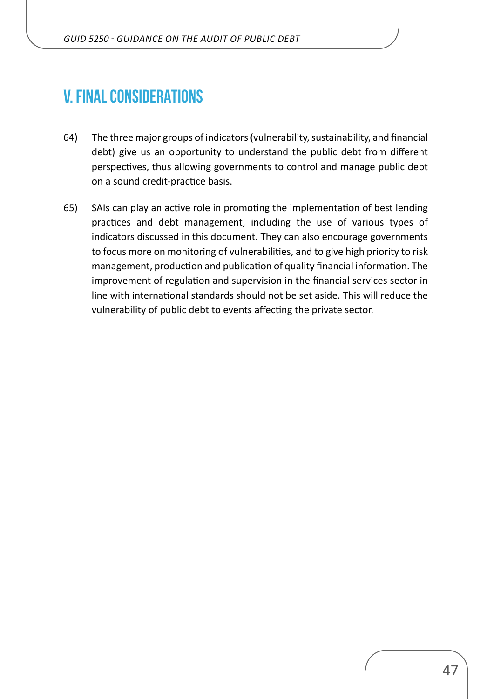## <span id="page-46-0"></span>**V. FINAL CONSIDERATIONS**

- 64) The three major groups of indicators (vulnerability, sustainability, and financial debt) give us an opportunity to understand the public debt from different perspectives, thus allowing governments to control and manage public debt on a sound credit-practice basis.
- 65) SAIs can play an active role in promoting the implementation of best lending practices and debt management, including the use of various types of indicators discussed in this document. They can also encourage governments to focus more on monitoring of vulnerabilities, and to give high priority to risk management, production and publication of quality financial information. The improvement of regulation and supervision in the financial services sector in line with international standards should not be set aside. This will reduce the vulnerability of public debt to events affecting the private sector.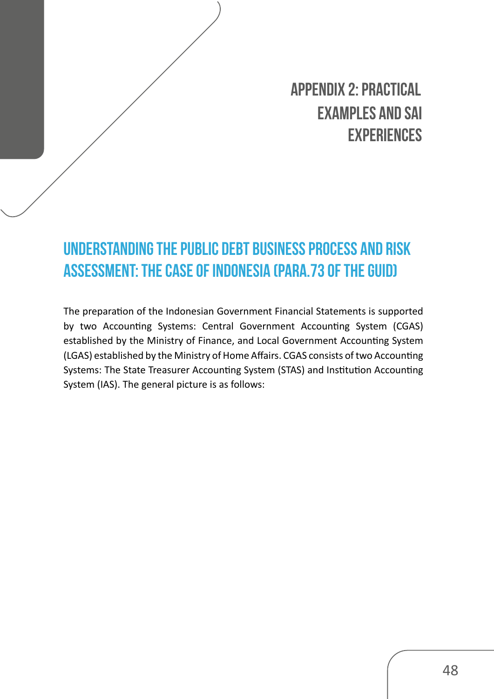**APPENDIX 2: PRACTICAL EXAMPLES AND SAI EXPERIENCES**

# <span id="page-47-0"></span>**Understanding the Public Debt Business Process and Risk Assessment: The Case of Indonesia (para.73 of the GUID)**

The preparation of the Indonesian Government Financial Statements is supported by two Accounting Systems: Central Government Accounting System (CGAS) established by the Ministry of Finance, and Local Government Accounting System (LGAS) established by the Ministry of Home Affairs. CGAS consists of two Accounting Systems: The State Treasurer Accounting System (STAS) and Institution Accounting System (IAS). The general picture is as follows: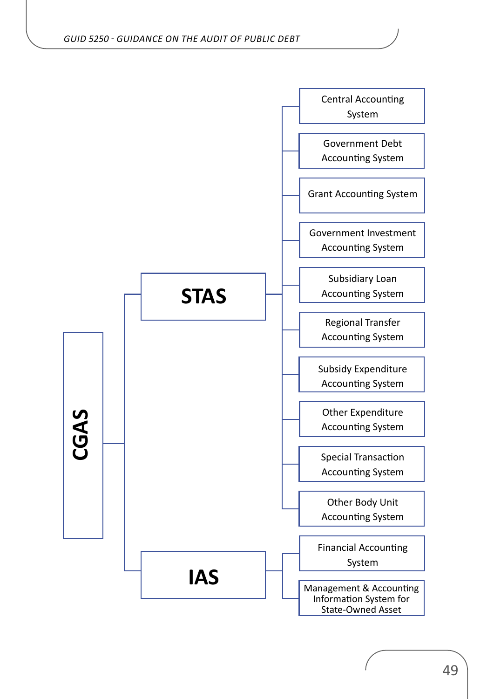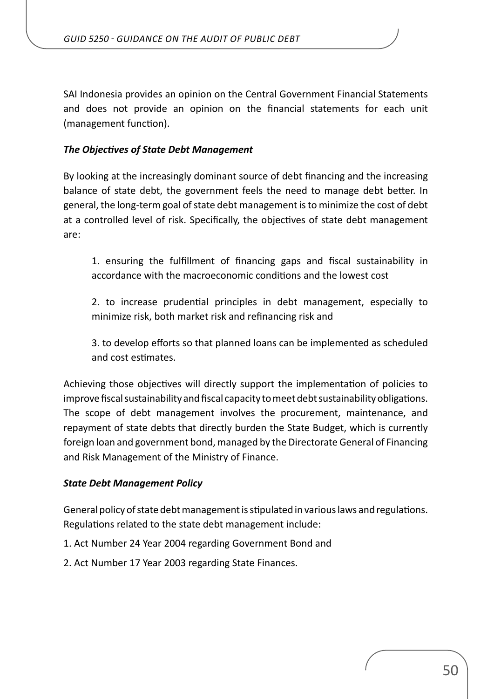SAI Indonesia provides an opinion on the Central Government Financial Statements and does not provide an opinion on the financial statements for each unit (management function).

#### *The Objectives of State Debt Management*

By looking at the increasingly dominant source of debt financing and the increasing balance of state debt, the government feels the need to manage debt better. In general, the long-term goal of state debt management is to minimize the cost of debt at a controlled level of risk. Specifically, the objectives of state debt management are:

1. ensuring the fulfillment of financing gaps and fiscal sustainability in accordance with the macroeconomic conditions and the lowest cost

2. to increase prudential principles in debt management, especially to minimize risk, both market risk and refinancing risk and

3. to develop efforts so that planned loans can be implemented as scheduled and cost estimates.

Achieving those objectives will directly support the implementation of policies to improve fiscal sustainability and fiscal capacity to meet debt sustainability obligations. The scope of debt management involves the procurement, maintenance, and repayment of state debts that directly burden the State Budget, which is currently foreign loan and government bond, managed by the Directorate General of Financing and Risk Management of the Ministry of Finance.

#### *State Debt Management Policy*

General policy of state debt management is stipulated in various laws and regulations. Regulations related to the state debt management include:

- 1. Act Number 24 Year 2004 regarding Government Bond and
- 2. Act Number 17 Year 2003 regarding State Finances.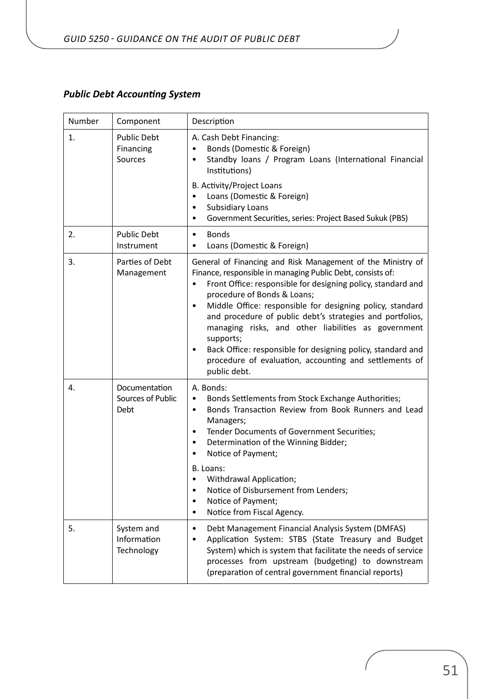#### *Public Debt Accounting System*

| Number         | Component                                  | Description                                                                                                                                                                                                                                                                                                                                                                                                                                                                                                                                                                                    |
|----------------|--------------------------------------------|------------------------------------------------------------------------------------------------------------------------------------------------------------------------------------------------------------------------------------------------------------------------------------------------------------------------------------------------------------------------------------------------------------------------------------------------------------------------------------------------------------------------------------------------------------------------------------------------|
| $\mathbf{1}$ . | <b>Public Debt</b><br>Financing<br>Sources | A. Cash Debt Financing:<br>Bonds (Domestic & Foreign)<br>Standby loans / Program Loans (International Financial<br>$\bullet$<br>Institutions)                                                                                                                                                                                                                                                                                                                                                                                                                                                  |
|                |                                            | B. Activity/Project Loans<br>Loans (Domestic & Foreign)<br>$\bullet$<br><b>Subsidiary Loans</b><br>$\bullet$<br>Government Securities, series: Project Based Sukuk (PBS)<br>٠                                                                                                                                                                                                                                                                                                                                                                                                                  |
| 2.             | <b>Public Debt</b><br>Instrument           | <b>Bonds</b><br>$\bullet$<br>Loans (Domestic & Foreign)<br>$\bullet$                                                                                                                                                                                                                                                                                                                                                                                                                                                                                                                           |
| 3.             | Parties of Debt<br>Management              | General of Financing and Risk Management of the Ministry of<br>Finance, responsible in managing Public Debt, consists of:<br>Front Office: responsible for designing policy, standard and<br>$\bullet$<br>procedure of Bonds & Loans;<br>Middle Office: responsible for designing policy, standard<br>٠<br>and procedure of public debt's strategies and portfolios,<br>managing risks, and other liabilities as government<br>supports;<br>Back Office: responsible for designing policy, standard and<br>$\bullet$<br>procedure of evaluation, accounting and settlements of<br>public debt. |
| 4.             | Documentation<br>Sources of Public<br>Debt | A. Bonds:<br>Bonds Settlements from Stock Exchange Authorities;<br>٠<br>Bonds Transaction Review from Book Runners and Lead<br>$\bullet$<br>Managers;<br>Tender Documents of Government Securities;<br>$\bullet$<br>Determination of the Winning Bidder;<br>٠<br>Notice of Payment;<br>٠<br>B. Loans:<br>Withdrawal Application;<br>Notice of Disbursement from Lenders;<br>$\bullet$<br>Notice of Payment;<br>٠<br>Notice from Fiscal Agency.<br>٠                                                                                                                                            |
| 5.             | System and<br>Information<br>Technology    | Debt Management Financial Analysis System (DMFAS)<br>$\bullet$<br>Application System: STBS (State Treasury and Budget<br>٠<br>System) which is system that facilitate the needs of service<br>processes from upstream (budgeting) to downstream<br>(preparation of central government financial reports)                                                                                                                                                                                                                                                                                       |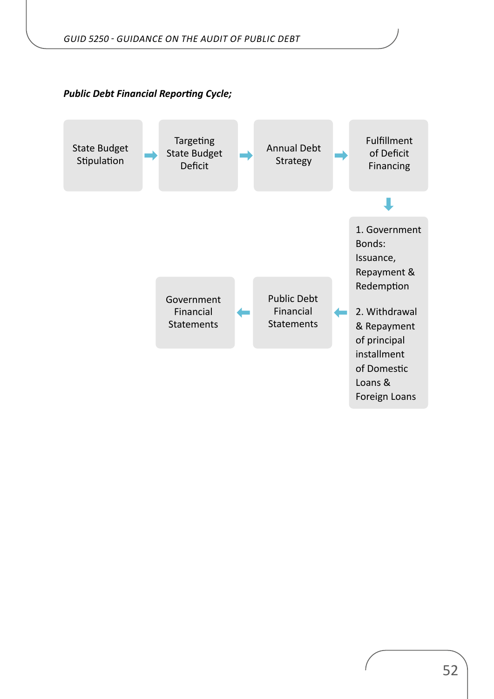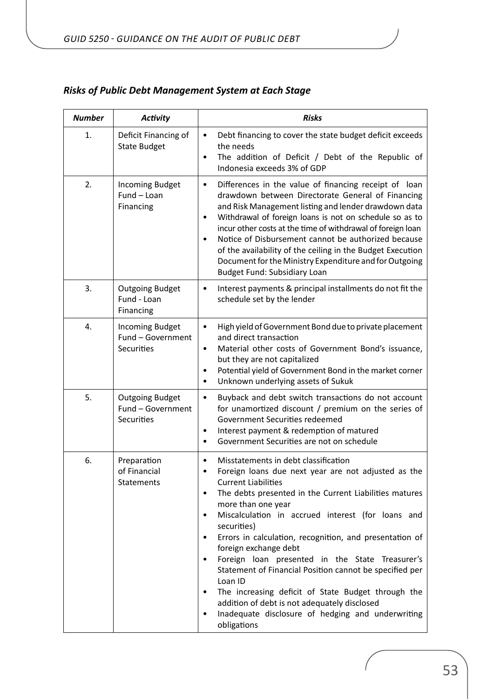| <b>Number</b> | <b>Activity</b>                                           | <b>Risks</b>                                                                                                                                                                                                                                                                                                                                                                                                                                                                                                                                                                                                                                                                                                       |
|---------------|-----------------------------------------------------------|--------------------------------------------------------------------------------------------------------------------------------------------------------------------------------------------------------------------------------------------------------------------------------------------------------------------------------------------------------------------------------------------------------------------------------------------------------------------------------------------------------------------------------------------------------------------------------------------------------------------------------------------------------------------------------------------------------------------|
| 1.            | Deficit Financing of<br><b>State Budget</b>               | Debt financing to cover the state budget deficit exceeds<br>٠<br>the needs<br>The addition of Deficit / Debt of the Republic of<br>$\bullet$<br>Indonesia exceeds 3% of GDP                                                                                                                                                                                                                                                                                                                                                                                                                                                                                                                                        |
| 2.            | <b>Incoming Budget</b><br>Fund - Loan<br>Financing        | Differences in the value of financing receipt of loan<br>٠<br>drawdown between Directorate General of Financing<br>and Risk Management listing and lender drawdown data<br>Withdrawal of foreign loans is not on schedule so as to<br>$\bullet$<br>incur other costs at the time of withdrawal of foreign loan<br>Notice of Disbursement cannot be authorized because<br>$\bullet$<br>of the availability of the ceiling in the Budget Execution<br>Document for the Ministry Expenditure and for Outgoing<br><b>Budget Fund: Subsidiary Loan</b>                                                                                                                                                                  |
| 3.            | <b>Outgoing Budget</b><br>Fund - Loan<br>Financing        | Interest payments & principal installments do not fit the<br>٠<br>schedule set by the lender                                                                                                                                                                                                                                                                                                                                                                                                                                                                                                                                                                                                                       |
| 4.            | <b>Incoming Budget</b><br>Fund - Government<br>Securities | High yield of Government Bond due to private placement<br>$\bullet$<br>and direct transaction<br>Material other costs of Government Bond's issuance,<br>but they are not capitalized<br>Potential yield of Government Bond in the market corner<br>٠<br>Unknown underlying assets of Sukuk                                                                                                                                                                                                                                                                                                                                                                                                                         |
| 5.            | <b>Outgoing Budget</b><br>Fund - Government<br>Securities | Buyback and debt switch transactions do not account<br>٠<br>for unamortized discount / premium on the series of<br>Government Securities redeemed<br>Interest payment & redemption of matured<br>$\bullet$<br>Government Securities are not on schedule<br>$\bullet$                                                                                                                                                                                                                                                                                                                                                                                                                                               |
| 6.            | Preparation<br>of Financial<br>Statements                 | Misstatements in debt classification<br>$\bullet$<br>Foreign loans due next year are not adjusted as the<br><b>Current Liabilities</b><br>The debts presented in the Current Liabilities matures<br>more than one year<br>Miscalculation in accrued interest (for loans and<br>$\bullet$<br>securities)<br>Errors in calculation, recognition, and presentation of<br>٠<br>foreign exchange debt<br>Foreign loan presented in the State Treasurer's<br>٠<br>Statement of Financial Position cannot be specified per<br>Loan ID<br>The increasing deficit of State Budget through the<br>٠<br>addition of debt is not adequately disclosed<br>Inadequate disclosure of hedging and underwriting<br>٠<br>obligations |

## *Risks of Public Debt Management System at Each Stage*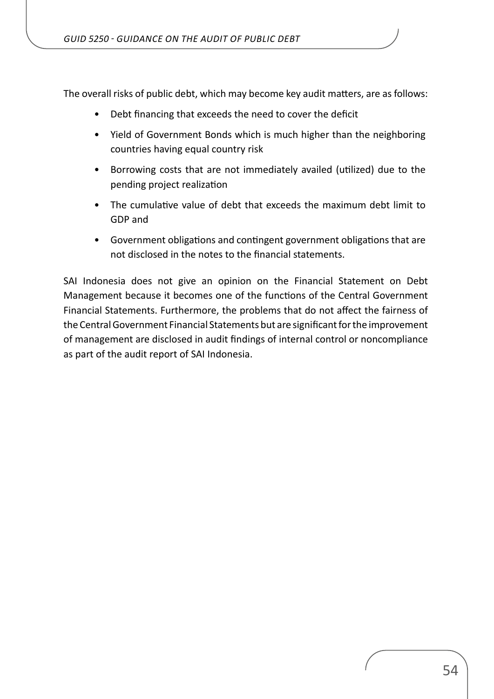The overall risks of public debt, which may become key audit matters, are as follows:

- Debt financing that exceeds the need to cover the deficit
- Yield of Government Bonds which is much higher than the neighboring countries having equal country risk
- Borrowing costs that are not immediately availed (utilized) due to the pending project realization
- The cumulative value of debt that exceeds the maximum debt limit to GDP and
- Government obligations and contingent government obligations that are not disclosed in the notes to the financial statements.

SAI Indonesia does not give an opinion on the Financial Statement on Debt Management because it becomes one of the functions of the Central Government Financial Statements. Furthermore, the problems that do not affect the fairness of the Central Government Financial Statements but are significant for the improvement of management are disclosed in audit findings of internal control or noncompliance as part of the audit report of SAI Indonesia.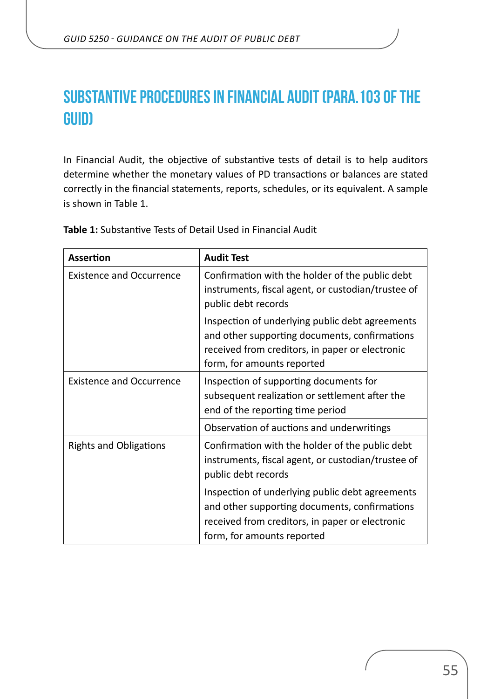## <span id="page-54-0"></span>**Substantive procedures in Financial Audit (para.103 of the GUID)**

In Financial Audit, the objective of substantive tests of detail is to help auditors determine whether the monetary values of PD transactions or balances are stated correctly in the financial statements, reports, schedules, or its equivalent. A sample is shown in Table 1.

| <b>Assertion</b>                | <b>Audit Test</b>                                                                                                                                                                 |
|---------------------------------|-----------------------------------------------------------------------------------------------------------------------------------------------------------------------------------|
| <b>Existence and Occurrence</b> | Confirmation with the holder of the public debt<br>instruments, fiscal agent, or custodian/trustee of<br>public debt records                                                      |
|                                 | Inspection of underlying public debt agreements<br>and other supporting documents, confirmations<br>received from creditors, in paper or electronic<br>form, for amounts reported |
| <b>Existence and Occurrence</b> | Inspection of supporting documents for<br>subsequent realization or settlement after the<br>end of the reporting time period                                                      |
|                                 | Observation of auctions and underwritings                                                                                                                                         |
| <b>Rights and Obligations</b>   | Confirmation with the holder of the public debt<br>instruments, fiscal agent, or custodian/trustee of<br>public debt records                                                      |
|                                 | Inspection of underlying public debt agreements<br>and other supporting documents, confirmations<br>received from creditors, in paper or electronic<br>form, for amounts reported |

**Table 1:** Substantive Tests of Detail Used in Financial Audit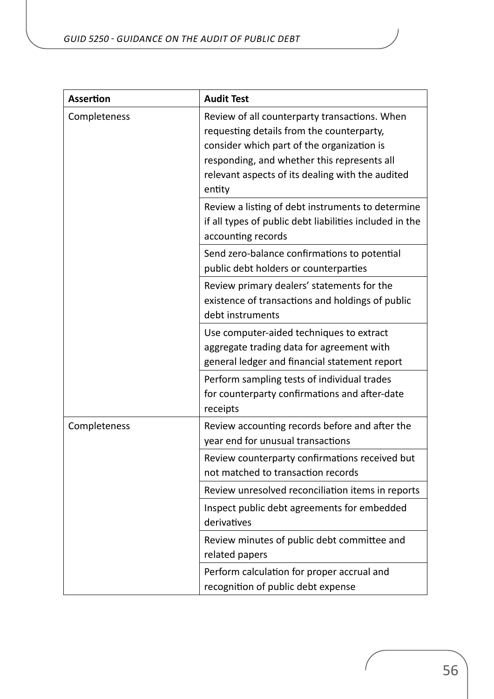| <b>Assertion</b> | <b>Audit Test</b>                                                                                                                                                                                                                                     |
|------------------|-------------------------------------------------------------------------------------------------------------------------------------------------------------------------------------------------------------------------------------------------------|
| Completeness     | Review of all counterparty transactions. When<br>requesting details from the counterparty,<br>consider which part of the organization is<br>responding, and whether this represents all<br>relevant aspects of its dealing with the audited<br>entity |
|                  | Review a listing of debt instruments to determine<br>if all types of public debt liabilities included in the<br>accounting records                                                                                                                    |
|                  | Send zero-balance confirmations to potential<br>public debt holders or counterparties                                                                                                                                                                 |
|                  | Review primary dealers' statements for the<br>existence of transactions and holdings of public<br>debt instruments                                                                                                                                    |
|                  | Use computer-aided techniques to extract<br>aggregate trading data for agreement with<br>general ledger and financial statement report                                                                                                                |
|                  | Perform sampling tests of individual trades<br>for counterparty confirmations and after-date<br>receipts                                                                                                                                              |
| Completeness     | Review accounting records before and after the<br>year end for unusual transactions                                                                                                                                                                   |
|                  | Review counterparty confirmations received but<br>not matched to transaction records                                                                                                                                                                  |
|                  | Review unresolved reconciliation items in reports                                                                                                                                                                                                     |
|                  | Inspect public debt agreements for embedded<br>derivatives                                                                                                                                                                                            |
|                  | Review minutes of public debt committee and<br>related papers                                                                                                                                                                                         |
|                  | Perform calculation for proper accrual and<br>recognition of public debt expense                                                                                                                                                                      |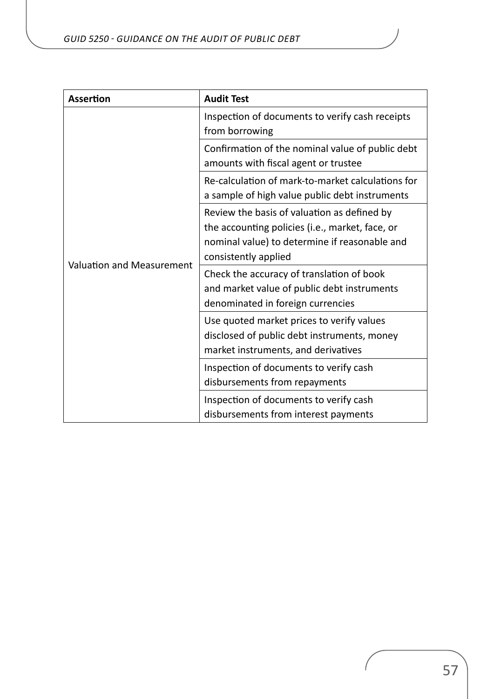| <b>Assertion</b>                 | <b>Audit Test</b>                                                                                                                                                       |
|----------------------------------|-------------------------------------------------------------------------------------------------------------------------------------------------------------------------|
| <b>Valuation and Measurement</b> | Inspection of documents to verify cash receipts<br>from borrowing                                                                                                       |
|                                  | Confirmation of the nominal value of public debt<br>amounts with fiscal agent or trustee                                                                                |
|                                  | Re-calculation of mark-to-market calculations for<br>a sample of high value public debt instruments                                                                     |
|                                  | Review the basis of valuation as defined by<br>the accounting policies (i.e., market, face, or<br>nominal value) to determine if reasonable and<br>consistently applied |
|                                  | Check the accuracy of translation of book<br>and market value of public debt instruments<br>denominated in foreign currencies                                           |
|                                  | Use quoted market prices to verify values<br>disclosed of public debt instruments, money<br>market instruments, and derivatives                                         |
|                                  | Inspection of documents to verify cash<br>disbursements from repayments                                                                                                 |
|                                  | Inspection of documents to verify cash<br>disbursements from interest payments                                                                                          |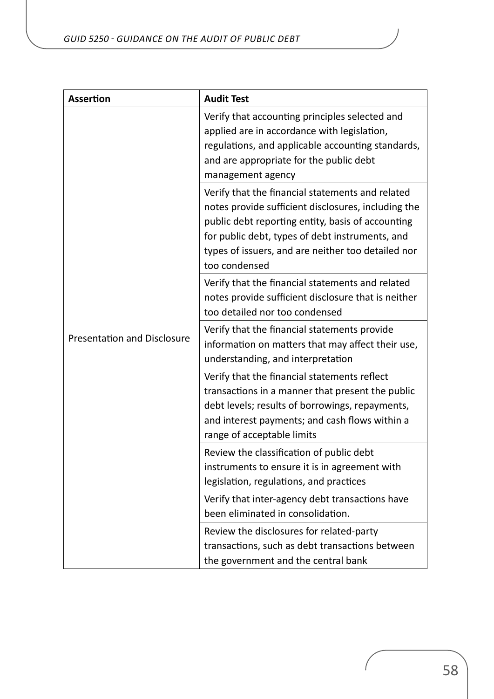| <b>Assertion</b>                   | <b>Audit Test</b>                                                                                                                                                                                                                                                                      |
|------------------------------------|----------------------------------------------------------------------------------------------------------------------------------------------------------------------------------------------------------------------------------------------------------------------------------------|
|                                    | Verify that accounting principles selected and<br>applied are in accordance with legislation,<br>regulations, and applicable accounting standards,<br>and are appropriate for the public debt<br>management agency                                                                     |
|                                    | Verify that the financial statements and related<br>notes provide sufficient disclosures, including the<br>public debt reporting entity, basis of accounting<br>for public debt, types of debt instruments, and<br>types of issuers, and are neither too detailed nor<br>too condensed |
|                                    | Verify that the financial statements and related<br>notes provide sufficient disclosure that is neither<br>too detailed nor too condensed                                                                                                                                              |
| <b>Presentation and Disclosure</b> | Verify that the financial statements provide<br>information on matters that may affect their use,<br>understanding, and interpretation                                                                                                                                                 |
|                                    | Verify that the financial statements reflect<br>transactions in a manner that present the public<br>debt levels; results of borrowings, repayments,<br>and interest payments; and cash flows within a<br>range of acceptable limits                                                    |
|                                    | Review the classification of public debt<br>instruments to ensure it is in agreement with<br>legislation, regulations, and practices                                                                                                                                                   |
|                                    | Verify that inter-agency debt transactions have<br>been eliminated in consolidation.                                                                                                                                                                                                   |
|                                    | Review the disclosures for related-party<br>transactions, such as debt transactions between<br>the government and the central bank                                                                                                                                                     |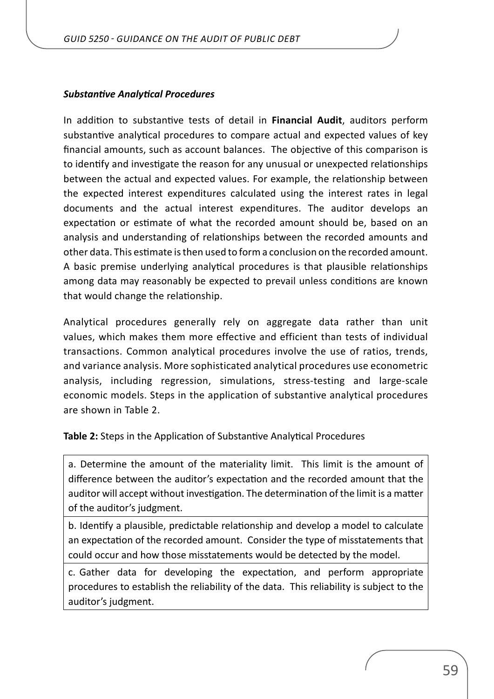#### *Substantive Analytical Procedures*

In addition to substantive tests of detail in **Financial Audit**, auditors perform substantive analytical procedures to compare actual and expected values of key financial amounts, such as account balances. The objective of this comparison is to identify and investigate the reason for any unusual or unexpected relationships between the actual and expected values. For example, the relationship between the expected interest expenditures calculated using the interest rates in legal documents and the actual interest expenditures. The auditor develops an expectation or estimate of what the recorded amount should be, based on an analysis and understanding of relationships between the recorded amounts and other data. This estimate is then used to form a conclusion on the recorded amount. A basic premise underlying analytical procedures is that plausible relationships among data may reasonably be expected to prevail unless conditions are known that would change the relationship.

Analytical procedures generally rely on aggregate data rather than unit values, which makes them more effective and efficient than tests of individual transactions. Common analytical procedures involve the use of ratios, trends, and variance analysis. More sophisticated analytical procedures use econometric analysis, including regression, simulations, stress-testing and large-scale economic models. Steps in the application of substantive analytical procedures are shown in Table 2.

**Table 2:** Steps in the Application of Substantive Analytical Procedures

a. Determine the amount of the materiality limit. This limit is the amount of difference between the auditor's expectation and the recorded amount that the auditor will accept without investigation. The determination of the limit is a matter of the auditor's judgment.

b. Identify a plausible, predictable relationship and develop a model to calculate an expectation of the recorded amount. Consider the type of misstatements that could occur and how those misstatements would be detected by the model.

c. Gather data for developing the expectation, and perform appropriate procedures to establish the reliability of the data. This reliability is subject to the auditor's judgment.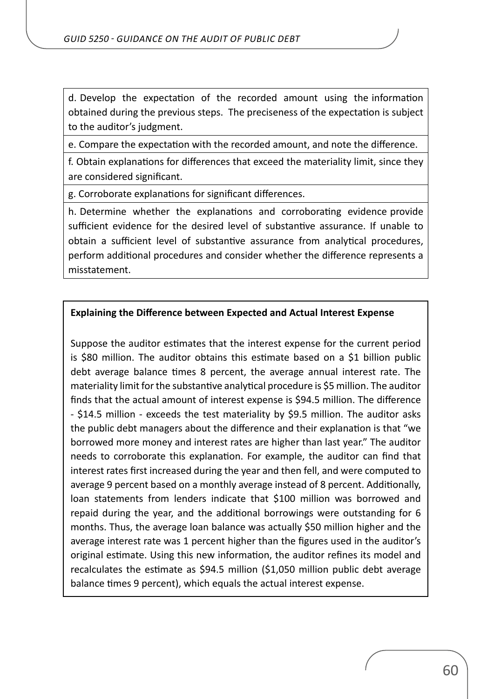d. Develop the expectation of the recorded amount using the information obtained during the previous steps. The preciseness of the expectation is subject to the auditor's judgment.

e. Compare the expectation with the recorded amount, and note the difference.

f. Obtain explanations for differences that exceed the materiality limit, since they are considered significant.

g. Corroborate explanations for significant differences.

h. Determine whether the explanations and corroborating evidence provide sufficient evidence for the desired level of substantive assurance. If unable to obtain a sufficient level of substantive assurance from analytical procedures, perform additional procedures and consider whether the difference represents a misstatement.

#### **Explaining the Difference between Expected and Actual Interest Expense**

Suppose the auditor estimates that the interest expense for the current period is \$80 million. The auditor obtains this estimate based on a \$1 billion public debt average balance times 8 percent, the average annual interest rate. The materiality limit for the substantive analytical procedure is \$5 million. The auditor finds that the actual amount of interest expense is \$94.5 million. The difference - \$14.5 million - exceeds the test materiality by \$9.5 million. The auditor asks the public debt managers about the difference and their explanation is that "we borrowed more money and interest rates are higher than last year." The auditor needs to corroborate this explanation. For example, the auditor can find that interest rates first increased during the year and then fell, and were computed to average 9 percent based on a monthly average instead of 8 percent. Additionally, loan statements from lenders indicate that \$100 million was borrowed and repaid during the year, and the additional borrowings were outstanding for 6 months. Thus, the average loan balance was actually \$50 million higher and the average interest rate was 1 percent higher than the figures used in the auditor's original estimate. Using this new information, the auditor refines its model and recalculates the estimate as \$94.5 million (\$1,050 million public debt average balance times 9 percent), which equals the actual interest expense.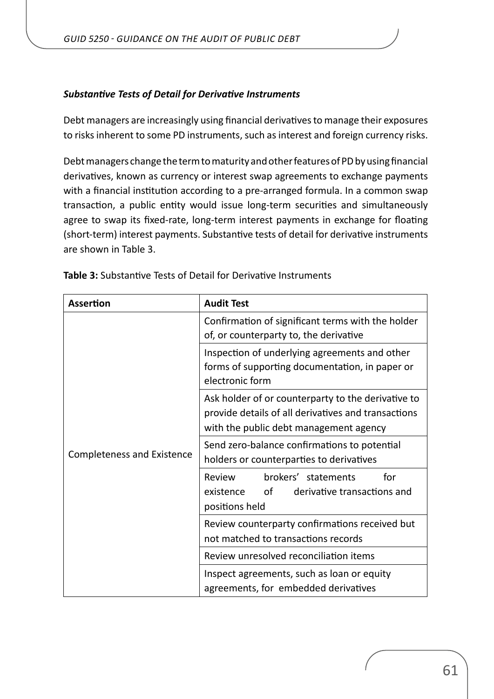#### *Substantive Tests of Detail for Derivative Instruments*

Debt managers are increasingly using financial derivatives to manage their exposures to risks inherent to some PD instruments, such as interest and foreign currency risks.

Debt managers change the term to maturity and other features of PD by using financial derivatives, known as currency or interest swap agreements to exchange payments with a financial institution according to a pre-arranged formula. In a common swap transaction, a public entity would issue long-term securities and simultaneously agree to swap its fixed-rate, long-term interest payments in exchange for floating (short-term) interest payments. Substantive tests of detail for derivative instruments are shown in Table 3.

| <b>Assertion</b>                  | <b>Audit Test</b>                                                                                                                                   |
|-----------------------------------|-----------------------------------------------------------------------------------------------------------------------------------------------------|
| <b>Completeness and Existence</b> | Confirmation of significant terms with the holder<br>of, or counterparty to, the derivative                                                         |
|                                   | Inspection of underlying agreements and other<br>forms of supporting documentation, in paper or<br>electronic form                                  |
|                                   | Ask holder of or counterparty to the derivative to<br>provide details of all derivatives and transactions<br>with the public debt management agency |
|                                   | Send zero-balance confirmations to potential<br>holders or counterparties to derivatives                                                            |
|                                   | Review<br>brokers' statements<br>for<br>of<br>derivative transactions and<br>existence<br>positions held                                            |
|                                   | Review counterparty confirmations received but<br>not matched to transactions records                                                               |
|                                   | Review unresolved reconciliation items                                                                                                              |
|                                   | Inspect agreements, such as loan or equity<br>agreements, for embedded derivatives                                                                  |

**Table 3:** Substantive Tests of Detail for Derivative Instruments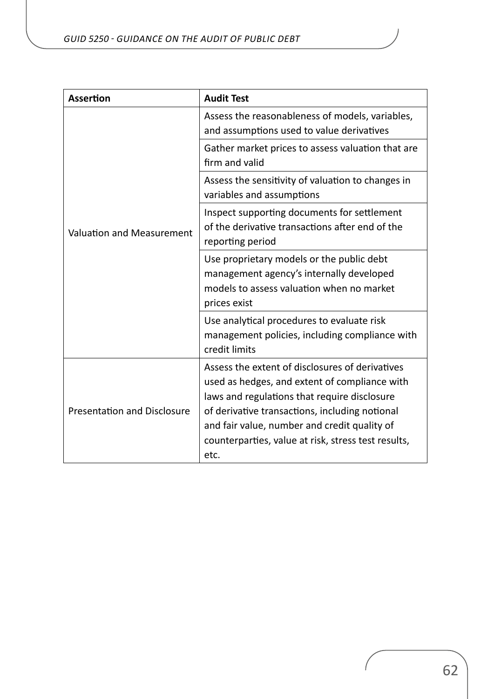| <b>Assertion</b>                   | <b>Audit Test</b>                                                                                                                                                                                                                                                                                                 |
|------------------------------------|-------------------------------------------------------------------------------------------------------------------------------------------------------------------------------------------------------------------------------------------------------------------------------------------------------------------|
| <b>Valuation and Measurement</b>   | Assess the reasonableness of models, variables,<br>and assumptions used to value derivatives                                                                                                                                                                                                                      |
|                                    | Gather market prices to assess valuation that are<br>firm and valid                                                                                                                                                                                                                                               |
|                                    | Assess the sensitivity of valuation to changes in<br>variables and assumptions                                                                                                                                                                                                                                    |
|                                    | Inspect supporting documents for settlement<br>of the derivative transactions after end of the<br>reporting period                                                                                                                                                                                                |
|                                    | Use proprietary models or the public debt<br>management agency's internally developed<br>models to assess valuation when no market<br>prices exist                                                                                                                                                                |
|                                    | Use analytical procedures to evaluate risk<br>management policies, including compliance with<br>credit limits                                                                                                                                                                                                     |
| <b>Presentation and Disclosure</b> | Assess the extent of disclosures of derivatives<br>used as hedges, and extent of compliance with<br>laws and regulations that require disclosure<br>of derivative transactions, including notional<br>and fair value, number and credit quality of<br>counterparties, value at risk, stress test results,<br>etc. |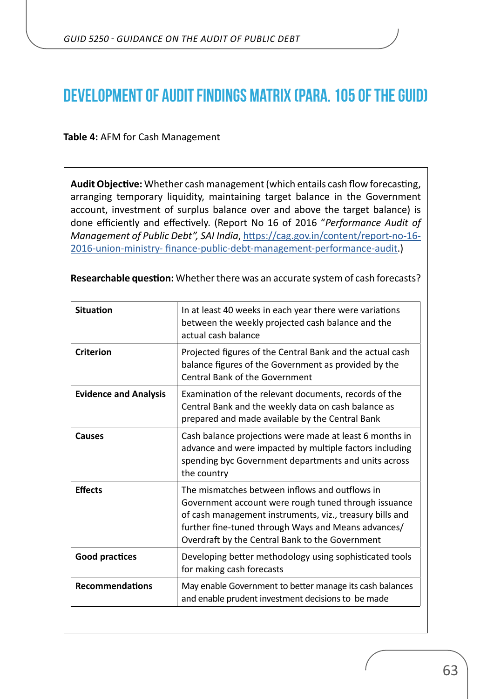## <span id="page-62-0"></span>**Development of Audit Findings Matrix (para. 105 of the GUID)**

**Table 4:** AFM for Cash Management

**Audit Objective:** Whether cash management (which entails cash flow forecasting, arranging temporary liquidity, maintaining target balance in the Government account, investment of surplus balance over and above the target balance) is done efficiently and effectively. (Report No 16 of 2016 "*Performance Audit of Management of Public Debt", SAI India*, [https://cag.gov.in/content/report-no-16-](https://cag.gov.in/content/report-no-16-2016-union-ministry- finance-public-debt-management-performance-audit) [2016-union-ministry- finance-public-debt-management-performance-audit](https://cag.gov.in/content/report-no-16-2016-union-ministry- finance-public-debt-management-performance-audit).)

| In at least 40 weeks in each year there were variations<br>between the weekly projected cash balance and the<br>actual cash balance                                                                                                                                          |
|------------------------------------------------------------------------------------------------------------------------------------------------------------------------------------------------------------------------------------------------------------------------------|
| Projected figures of the Central Bank and the actual cash<br>balance figures of the Government as provided by the<br><b>Central Bank of the Government</b>                                                                                                                   |
| Examination of the relevant documents, records of the<br>Central Bank and the weekly data on cash balance as<br>prepared and made available by the Central Bank                                                                                                              |
| Cash balance projections were made at least 6 months in<br>advance and were impacted by multiple factors including<br>spending byc Government departments and units across<br>the country                                                                                    |
| The mismatches between inflows and outflows in<br>Government account were rough tuned through issuance<br>of cash management instruments, viz., treasury bills and<br>further fine-tuned through Ways and Means advances/<br>Overdraft by the Central Bank to the Government |
| Developing better methodology using sophisticated tools<br>for making cash forecasts                                                                                                                                                                                         |
| May enable Government to better manage its cash balances<br>and enable prudent investment decisions to be made                                                                                                                                                               |
|                                                                                                                                                                                                                                                                              |

**Researchable question:** Whether there was an accurate system of cash forecasts?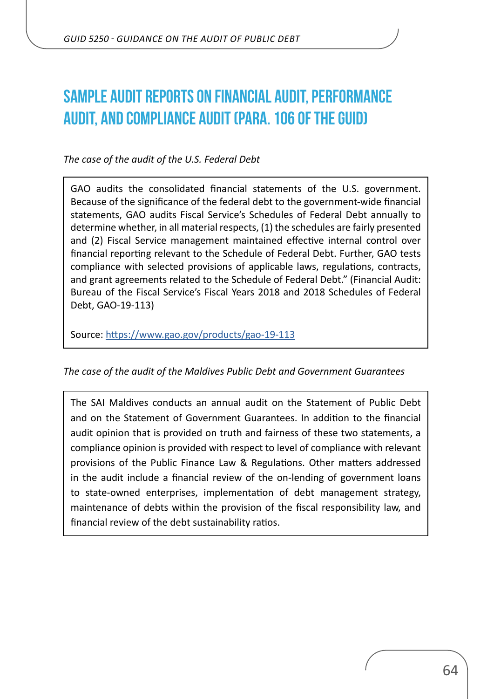# <span id="page-63-0"></span>**Sample audit reports on Financial Audit, Performance Audit, and Compliance Audit (para. 106 of the GUID)**

*The case of the audit of the U.S. Federal Debt*

GAO audits the consolidated financial statements of the U.S. government. Because of the significance of the federal debt to the government-wide financial statements, GAO audits Fiscal Service's Schedules of Federal Debt annually to determine whether, in all material respects, (1) the schedules are fairly presented and (2) Fiscal Service management maintained effective internal control over financial reporting relevant to the Schedule of Federal Debt. Further, GAO tests compliance with selected provisions of applicable laws, regulations, contracts, and grant agreements related to the Schedule of Federal Debt." (Financial Audit: Bureau of the Fiscal Service's Fiscal Years 2018 and 2018 Schedules of Federal Debt, GAO-19-113)

Source:<https://www.gao.gov/products/gao-19-113>

*The case of the audit of the Maldives Public Debt and Government Guarantees*

The SAI Maldives conducts an annual audit on the Statement of Public Debt and on the Statement of Government Guarantees. In addition to the financial audit opinion that is provided on truth and fairness of these two statements, a compliance opinion is provided with respect to level of compliance with relevant provisions of the Public Finance Law & Regulations. Other matters addressed in the audit include a financial review of the on-lending of government loans to state-owned enterprises, implementation of debt management strategy, maintenance of debts within the provision of the fiscal responsibility law, and financial review of the debt sustainability ratios.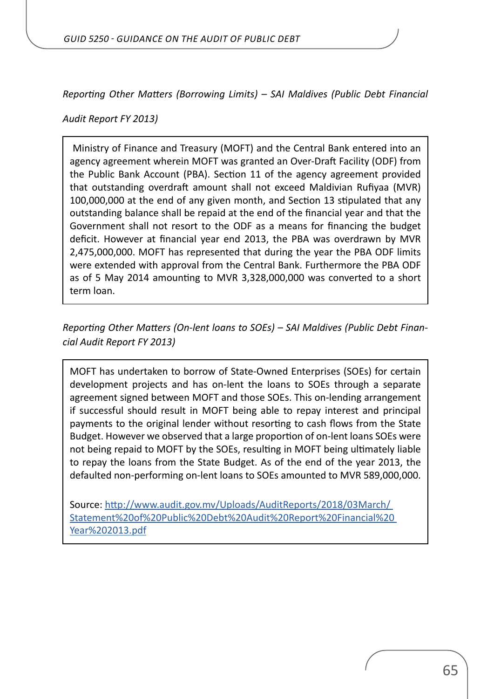*Reporting Other Matters (Borrowing Limits) – SAI Maldives (Public Debt Financial* 

*Audit Report FY 2013)*

 Ministry of Finance and Treasury (MOFT) and the Central Bank entered into an agency agreement wherein MOFT was granted an Over-Draft Facility (ODF) from the Public Bank Account (PBA). Section 11 of the agency agreement provided that outstanding overdraft amount shall not exceed Maldivian Rufiyaa (MVR) 100,000,000 at the end of any given month, and Section 13 stipulated that any outstanding balance shall be repaid at the end of the financial year and that the Government shall not resort to the ODF as a means for financing the budget deficit. However at financial year end 2013, the PBA was overdrawn by MVR 2,475,000,000. MOFT has represented that during the year the PBA ODF limits were extended with approval from the Central Bank. Furthermore the PBA ODF as of 5 May 2014 amounting to MVR 3,328,000,000 was converted to a short term loan.

*Reporting Other Matters (On-lent loans to SOEs) – SAI Maldives (Public Debt Financial Audit Report FY 2013)*

MOFT has undertaken to borrow of State-Owned Enterprises (SOEs) for certain development projects and has on-lent the loans to SOEs through a separate agreement signed between MOFT and those SOEs. This on-lending arrangement if successful should result in MOFT being able to repay interest and principal payments to the original lender without resorting to cash flows from the State Budget. However we observed that a large proportion of on-lent loans SOEs were not being repaid to MOFT by the SOEs, resulting in MOFT being ultimately liable to repay the loans from the State Budget. As of the end of the year 2013, the defaulted non-performing on-lent loans to SOEs amounted to MVR 589,000,000.

Source: [http://www.audit.gov.mv/Uploads/AuditReports/2018/03March/](http://www.audit.gov.mv/Uploads/AuditReports/2018/03March/ Statement%20of%20Public%20Debt%20Audit%20Report%20Financial%20 Year%202013.pdf)  [Statement%20of%20Public%20Debt%20Audit%20Report%20Financial%20](http://www.audit.gov.mv/Uploads/AuditReports/2018/03March/ Statement%20of%20Public%20Debt%20Audit%20Report%20Financial%20 Year%202013.pdf)  [Year%202013.pdf](http://www.audit.gov.mv/Uploads/AuditReports/2018/03March/ Statement%20of%20Public%20Debt%20Audit%20Report%20Financial%20 Year%202013.pdf)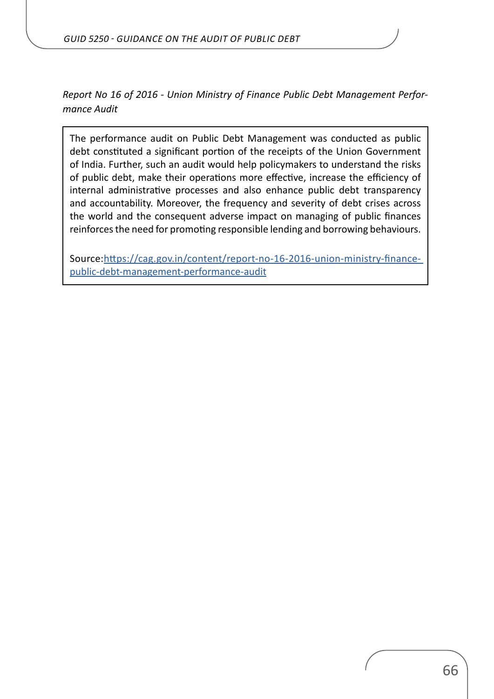*Report No 16 of 2016 - Union Ministry of Finance Public Debt Management Performance Audit*

The performance audit on Public Debt Management was conducted as public debt constituted a significant portion of the receipts of the Union Government of India. Further, such an audit would help policymakers to understand the risks of public debt, make their operations more effective, increase the efficiency of internal administrative processes and also enhance public debt transparency and accountability. Moreover, the frequency and severity of debt crises across the world and the consequent adverse impact on managing of public finances reinforces the need for promoting responsible lending and borrowing behaviours.

Source:[https://cag.gov.in/content/report-no-16-2016-union-ministry-finance](https://cag.gov.in/content/report-no-16-2016-union-ministry-finance- public-debt-management-performance-audit)[public-debt-management-performance-audit](https://cag.gov.in/content/report-no-16-2016-union-ministry-finance- public-debt-management-performance-audit)